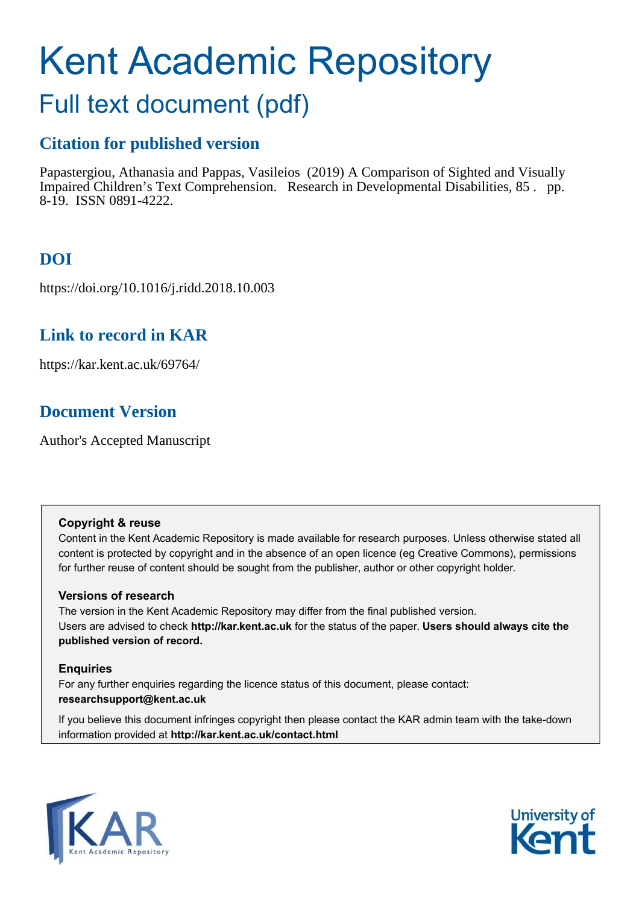# Kent Academic Repository

## Full text document (pdf)

## **Citation for published version**

Papastergiou, Athanasia and Pappas, Vasileios (2019) A Comparison of Sighted and Visually Impaired Children's Text Comprehension. Research in Developmental Disabilities, 85 . pp. 8-19. ISSN 0891-4222.

## **DOI**

https://doi.org/10.1016/j.ridd.2018.10.003

### **Link to record in KAR**

https://kar.kent.ac.uk/69764/

## **Document Version**

Author's Accepted Manuscript

#### **Copyright & reuse**

Content in the Kent Academic Repository is made available for research purposes. Unless otherwise stated all content is protected by copyright and in the absence of an open licence (eg Creative Commons), permissions for further reuse of content should be sought from the publisher, author or other copyright holder.

#### **Versions of research**

The version in the Kent Academic Repository may differ from the final published version. Users are advised to check **http://kar.kent.ac.uk** for the status of the paper. **Users should always cite the published version of record.**

#### **Enquiries**

For any further enquiries regarding the licence status of this document, please contact: **researchsupport@kent.ac.uk**

If you believe this document infringes copyright then please contact the KAR admin team with the take-down information provided at **http://kar.kent.ac.uk/contact.html**



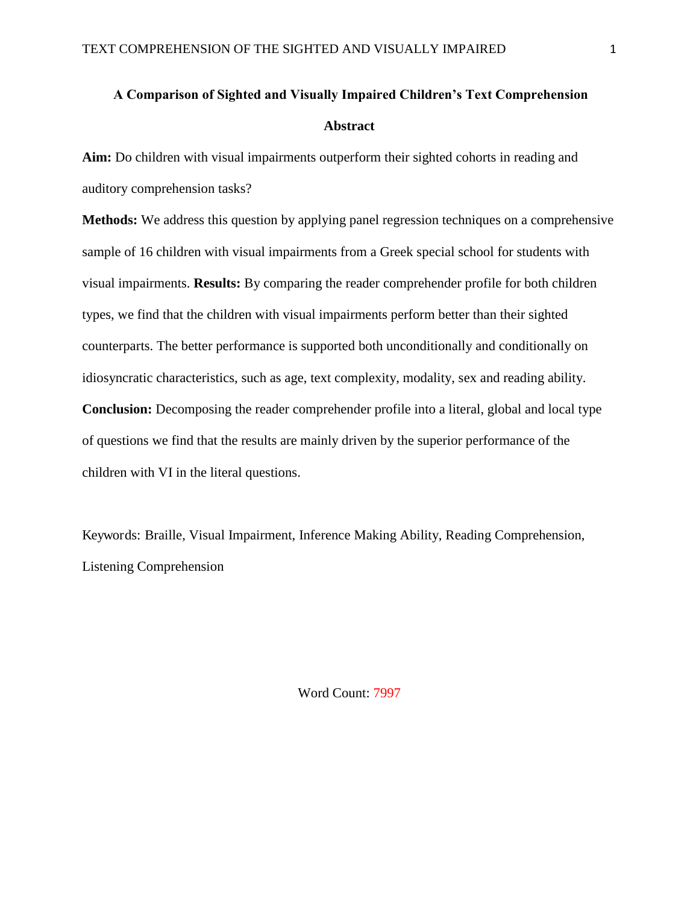## **A Comparison of Sighted and Visually Impaired Children's Text Comprehension Abstract**

**Aim:** Do children with visual impairments outperform their sighted cohorts in reading and auditory comprehension tasks?

**Methods:** We address this question by applying panel regression techniques on a comprehensive sample of 16 children with visual impairments from a Greek special school for students with visual impairments. **Results:** By comparing the reader comprehender profile for both children types, we find that the children with visual impairments perform better than their sighted counterparts. The better performance is supported both unconditionally and conditionally on idiosyncratic characteristics, such as age, text complexity, modality, sex and reading ability. **Conclusion:** Decomposing the reader comprehender profile into a literal, global and local type of questions we find that the results are mainly driven by the superior performance of the children with VI in the literal questions.

Keywords: Braille, Visual Impairment, Inference Making Ability, Reading Comprehension, Listening Comprehension

Word Count: 7997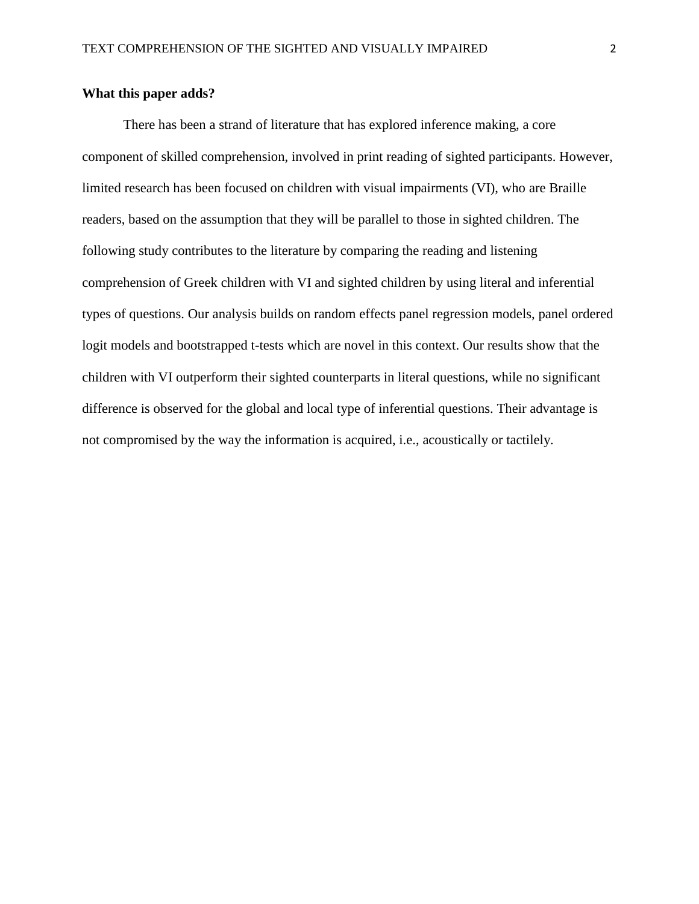#### **What this paper adds?**

There has been a strand of literature that has explored inference making, a core component of skilled comprehension, involved in print reading of sighted participants. However, limited research has been focused on children with visual impairments (VI), who are Braille readers, based on the assumption that they will be parallel to those in sighted children. The following study contributes to the literature by comparing the reading and listening comprehension of Greek children with VI and sighted children by using literal and inferential types of questions. Our analysis builds on random effects panel regression models, panel ordered logit models and bootstrapped t-tests which are novel in this context. Our results show that the children with VI outperform their sighted counterparts in literal questions, while no significant difference is observed for the global and local type of inferential questions. Their advantage is not compromised by the way the information is acquired, i.e., acoustically or tactilely.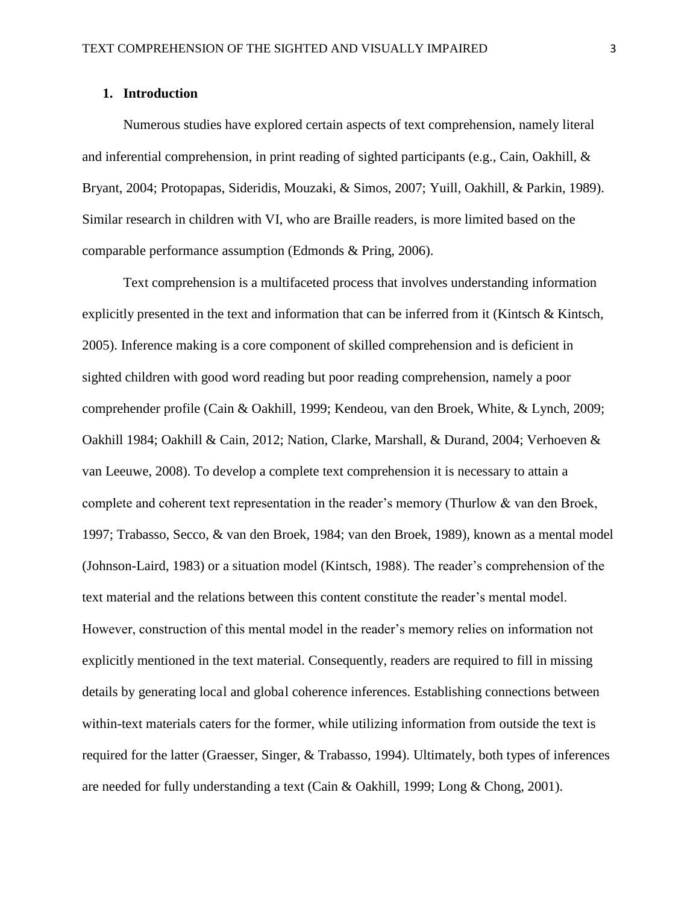#### **1. Introduction**

Numerous studies have explored certain aspects of text comprehension, namely literal and inferential comprehension, in print reading of sighted participants (e.g., Cain, Oakhill, & Bryant, 2004; Protopapas, Sideridis, Mouzaki, & Simos, 2007; Yuill, Oakhill, & Parkin, 1989). Similar research in children with VI, who are Braille readers, is more limited based on the comparable performance assumption (Edmonds & Pring, 2006).

Text comprehension is a multifaceted process that involves understanding information explicitly presented in the text and information that can be inferred from it (Kintsch & Kintsch, 2005). Inference making is a core component of skilled comprehension and is deficient in sighted children with good word reading but poor reading comprehension, namely a poor comprehender profile (Cain & Oakhill, 1999; Kendeou, van den Broek, White, & Lynch, 2009; Oakhill 1984; Oakhill & Cain, 2012; Nation, Clarke, Marshall, & Durand, 2004; Verhoeven & van Leeuwe, 2008). To develop a complete text comprehension it is necessary to attain a complete and coherent text representation in the reader's memory (Thurlow & van den Broek, 1997; Trabasso, Secco, & van den Broek, 1984; van den Broek, 1989), known as a mental model (Johnson-Laird, 1983) or a situation model (Kintsch, 1988). The reader's comprehension of the text material and the relations between this content constitute the reader's mental model. However, construction of this mental model in the reader's memory relies on information not explicitly mentioned in the text material. Consequently, readers are required to fill in missing details by generating local and global coherence inferences. Establishing connections between within-text materials caters for the former, while utilizing information from outside the text is required for the latter (Graesser, Singer, & Trabasso, 1994). Ultimately, both types of inferences are needed for fully understanding a text (Cain & Oakhill, 1999; Long & Chong, 2001).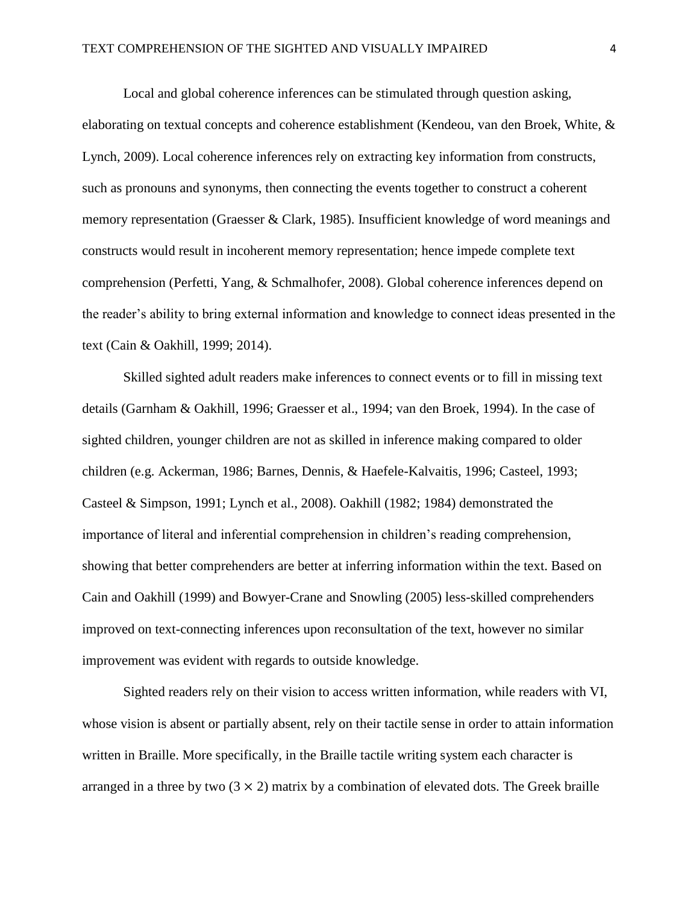Local and global coherence inferences can be stimulated through question asking, elaborating on textual concepts and coherence establishment (Kendeou, van den Broek, White, & Lynch, 2009). Local coherence inferences rely on extracting key information from constructs, such as pronouns and synonyms, then connecting the events together to construct a coherent memory representation (Graesser & Clark, 1985). Insufficient knowledge of word meanings and constructs would result in incoherent memory representation; hence impede complete text comprehension (Perfetti, Yang, & Schmalhofer, 2008). Global coherence inferences depend on the reader's ability to bring external information and knowledge to connect ideas presented in the text (Cain & Oakhill, 1999; 2014).

Skilled sighted adult readers make inferences to connect events or to fill in missing text details (Garnham & Oakhill, 1996; Graesser et al., 1994; van den Broek, 1994). In the case of sighted children, younger children are not as skilled in inference making compared to older children (e.g. Ackerman, 1986; Barnes, Dennis, & Haefele-Kalvaitis, 1996; Casteel, 1993; Casteel & Simpson, 1991; Lynch et al., 2008). Oakhill (1982; 1984) demonstrated the importance of literal and inferential comprehension in children's reading comprehension, showing that better comprehenders are better at inferring information within the text. Based on Cain and Oakhill (1999) and Bowyer-Crane and Snowling (2005) less-skilled comprehenders improved on text-connecting inferences upon reconsultation of the text, however no similar improvement was evident with regards to outside knowledge.

Sighted readers rely on their vision to access written information, while readers with VI, whose vision is absent or partially absent, rely on their tactile sense in order to attain information written in Braille. More specifically, in the Braille tactile writing system each character is arranged in a three by two  $(3 \times 2)$  matrix by a combination of elevated dots. The Greek braille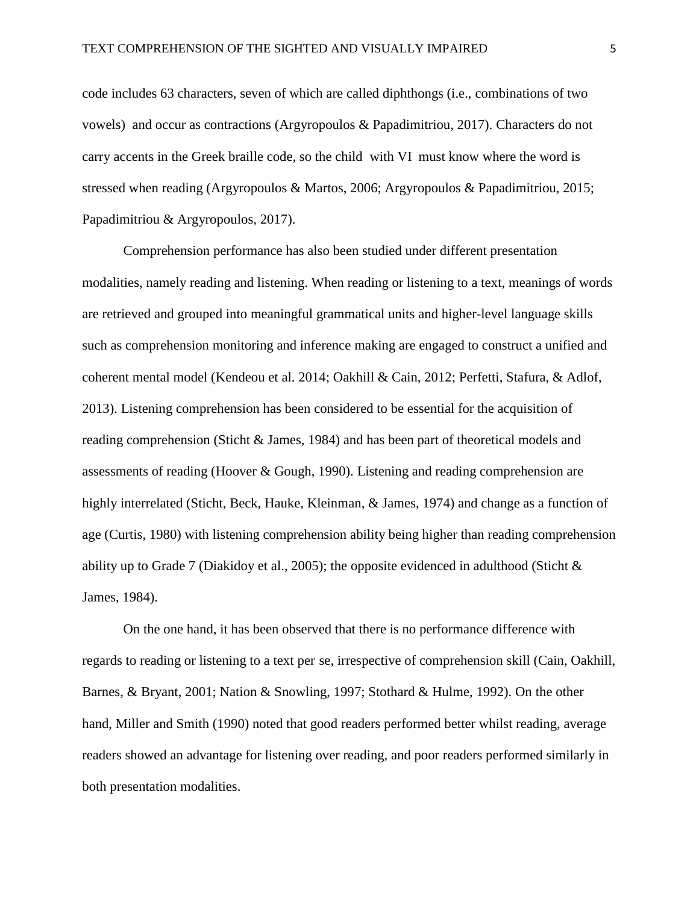code includes 63 characters, seven of which are called diphthongs (i.e., combinations of two vowels) and occur as contractions (Argyropoulos & Papadimitriou, 2017). Characters do not carry accents in the Greek braille code, so the child with VI must know where the word is stressed when reading (Argyropoulos & Martos, 2006; Argyropoulos & Papadimitriou, 2015; Papadimitriou & Argyropoulos, 2017).

Comprehension performance has also been studied under different presentation modalities, namely reading and listening. When reading or listening to a text, meanings of words are retrieved and grouped into meaningful grammatical units and higher-level language skills such as comprehension monitoring and inference making are engaged to construct a unified and coherent mental model (Kendeou et al. 2014; Oakhill & Cain, 2012; Perfetti, Stafura, & Adlof, 2013). Listening comprehension has been considered to be essential for the acquisition of reading comprehension (Sticht & James, 1984) and has been part of theoretical models and assessments of reading (Hoover & Gough, 1990). Listening and reading comprehension are highly interrelated (Sticht, Beck, Hauke, Kleinman, & James, 1974) and change as a function of age (Curtis, 1980) with listening comprehension ability being higher than reading comprehension ability up to Grade 7 (Diakidoy et al., 2005); the opposite evidenced in adulthood (Sticht & James, 1984).

On the one hand, it has been observed that there is no performance difference with regards to reading or listening to a text per se, irrespective of comprehension skill (Cain, Oakhill, Barnes, & Bryant, 2001; Nation & Snowling, 1997; Stothard & Hulme, 1992). On the other hand, Miller and Smith (1990) noted that good readers performed better whilst reading, average readers showed an advantage for listening over reading, and poor readers performed similarly in both presentation modalities.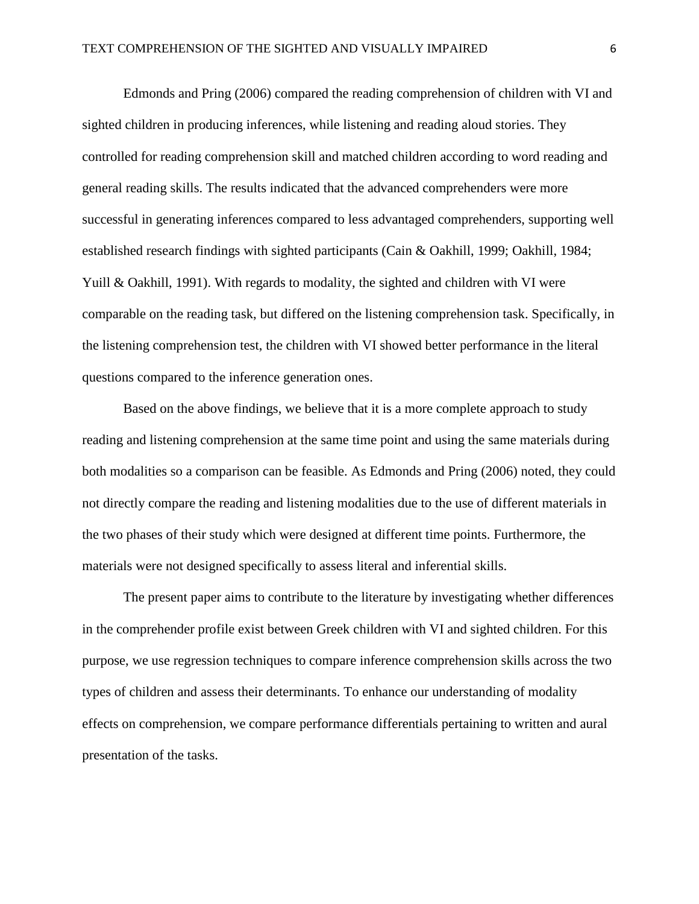Edmonds and Pring (2006) compared the reading comprehension of children with VI and sighted children in producing inferences, while listening and reading aloud stories. They controlled for reading comprehension skill and matched children according to word reading and general reading skills. The results indicated that the advanced comprehenders were more successful in generating inferences compared to less advantaged comprehenders, supporting well established research findings with sighted participants (Cain & Oakhill, 1999; Oakhill, 1984; Yuill & Oakhill, 1991). With regards to modality, the sighted and children with VI were comparable on the reading task, but differed on the listening comprehension task. Specifically, in the listening comprehension test, the children with VI showed better performance in the literal questions compared to the inference generation ones.

Based on the above findings, we believe that it is a more complete approach to study reading and listening comprehension at the same time point and using the same materials during both modalities so a comparison can be feasible. As Edmonds and Pring (2006) noted, they could not directly compare the reading and listening modalities due to the use of different materials in the two phases of their study which were designed at different time points. Furthermore, the materials were not designed specifically to assess literal and inferential skills.

The present paper aims to contribute to the literature by investigating whether differences in the comprehender profile exist between Greek children with VI and sighted children. For this purpose, we use regression techniques to compare inference comprehension skills across the two types of children and assess their determinants. To enhance our understanding of modality effects on comprehension, we compare performance differentials pertaining to written and aural presentation of the tasks.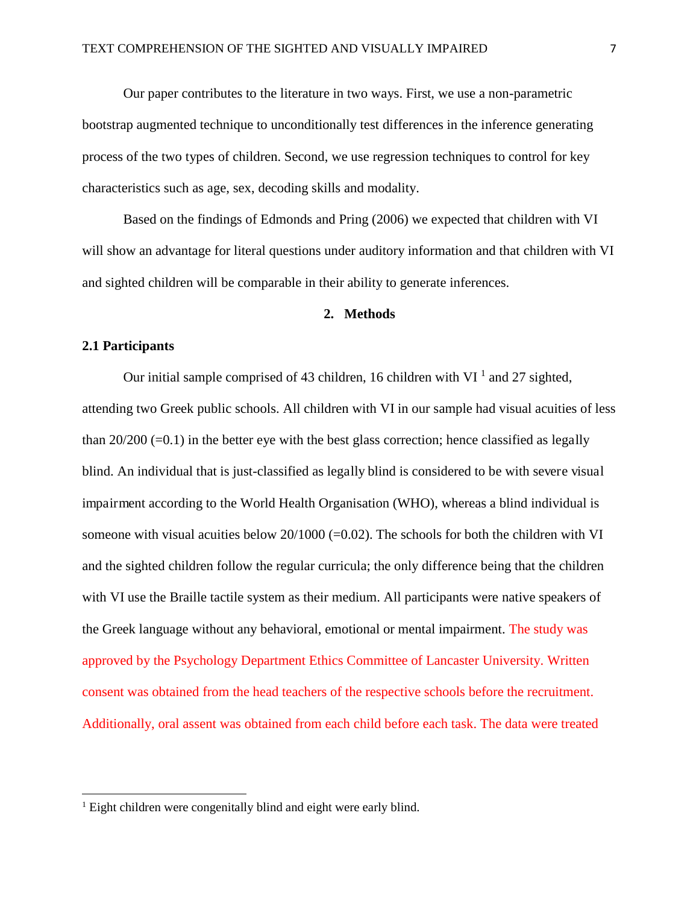Our paper contributes to the literature in two ways. First, we use a non-parametric bootstrap augmented technique to unconditionally test differences in the inference generating process of the two types of children. Second, we use regression techniques to control for key characteristics such as age, sex, decoding skills and modality.

Based on the findings of Edmonds and Pring (2006) we expected that children with VI will show an advantage for literal questions under auditory information and that children with VI and sighted children will be comparable in their ability to generate inferences.

#### **2. Methods**

#### **2.1 Participants**

 $\overline{a}$ 

Our initial sample comprised of 43 children, 16 children with VI  $^1$  and 27 sighted, attending two Greek public schools. All children with VI in our sample had visual acuities of less than  $20/200$  (=0.1) in the better eye with the best glass correction; hence classified as legally blind. An individual that is just-classified as legally blind is considered to be with severe visual impairment according to the World Health Organisation (WHO), whereas a blind individual is someone with visual acuities below  $20/1000$  (=0.02). The schools for both the children with VI and the sighted children follow the regular curricula; the only difference being that the children with VI use the Braille tactile system as their medium. All participants were native speakers of the Greek language without any behavioral, emotional or mental impairment. The study was approved by the Psychology Department Ethics Committee of Lancaster University. Written consent was obtained from the head teachers of the respective schools before the recruitment. Additionally, oral assent was obtained from each child before each task. The data were treated

<sup>&</sup>lt;sup>1</sup> Eight children were congenitally blind and eight were early blind.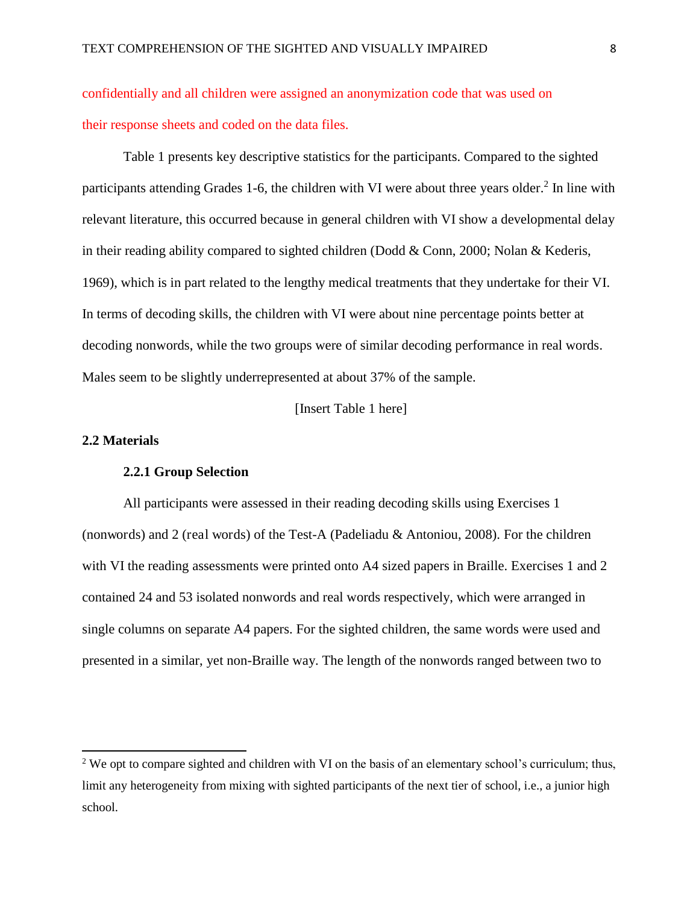confidentially and all children were assigned an anonymization code that was used on their response sheets and coded on the data files.

Table 1 presents key descriptive statistics for the participants. Compared to the sighted participants attending Grades 1-6, the children with VI were about three years older.<sup>2</sup> In line with relevant literature, this occurred because in general children with VI show a developmental delay in their reading ability compared to sighted children (Dodd & Conn, 2000; Nolan & Kederis, 1969), which is in part related to the lengthy medical treatments that they undertake for their VI. In terms of decoding skills, the children with VI were about nine percentage points better at decoding nonwords, while the two groups were of similar decoding performance in real words. Males seem to be slightly underrepresented at about 37% of the sample.

[Insert Table 1 here]

#### **2.2 Materials**

l

#### **2.2.1 Group Selection**

All participants were assessed in their reading decoding skills using Exercises 1 (nonwords) and 2 (real words) of the Test-A (Padeliadu & Antoniou, 2008). For the children with VI the reading assessments were printed onto A4 sized papers in Braille. Exercises 1 and 2 contained 24 and 53 isolated nonwords and real words respectively, which were arranged in single columns on separate A4 papers. For the sighted children, the same words were used and presented in a similar, yet non-Braille way. The length of the nonwords ranged between two to

 $2$  We opt to compare sighted and children with VI on the basis of an elementary school's curriculum; thus, limit any heterogeneity from mixing with sighted participants of the next tier of school, i.e., a junior high school.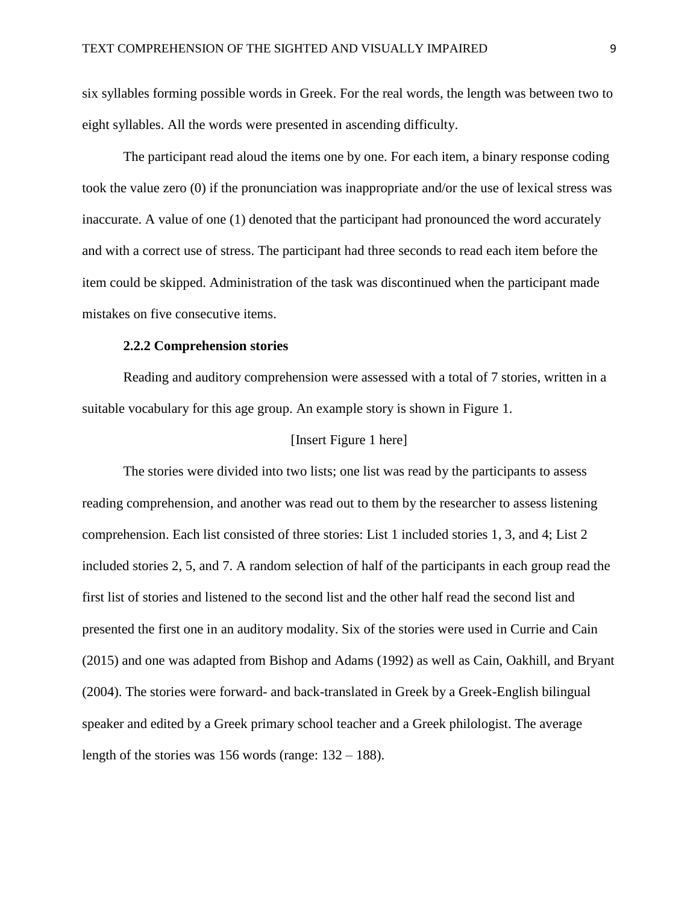six syllables forming possible words in Greek. For the real words, the length was between two to eight syllables. All the words were presented in ascending difficulty.

The participant read aloud the items one by one. For each item, a binary response coding took the value zero (0) if the pronunciation was inappropriate and/or the use of lexical stress was inaccurate. A value of one (1) denoted that the participant had pronounced the word accurately and with a correct use of stress. The participant had three seconds to read each item before the item could be skipped. Administration of the task was discontinued when the participant made mistakes on five consecutive items.

#### **2.2.2 Comprehension stories**

Reading and auditory comprehension were assessed with a total of 7 stories, written in a suitable vocabulary for this age group. An example story is shown in Figure 1.

#### [Insert Figure 1 here]

The stories were divided into two lists; one list was read by the participants to assess reading comprehension, and another was read out to them by the researcher to assess listening comprehension. Each list consisted of three stories: List 1 included stories 1, 3, and 4; List 2 included stories 2, 5, and 7. A random selection of half of the participants in each group read the first list of stories and listened to the second list and the other half read the second list and presented the first one in an auditory modality. Six of the stories were used in Currie and Cain (2015) and one was adapted from Bishop and Adams (1992) as well as Cain, Oakhill, and Bryant (2004). The stories were forward- and back-translated in Greek by a Greek-English bilingual speaker and edited by a Greek primary school teacher and a Greek philologist. The average length of the stories was 156 words (range:  $132 - 188$ ).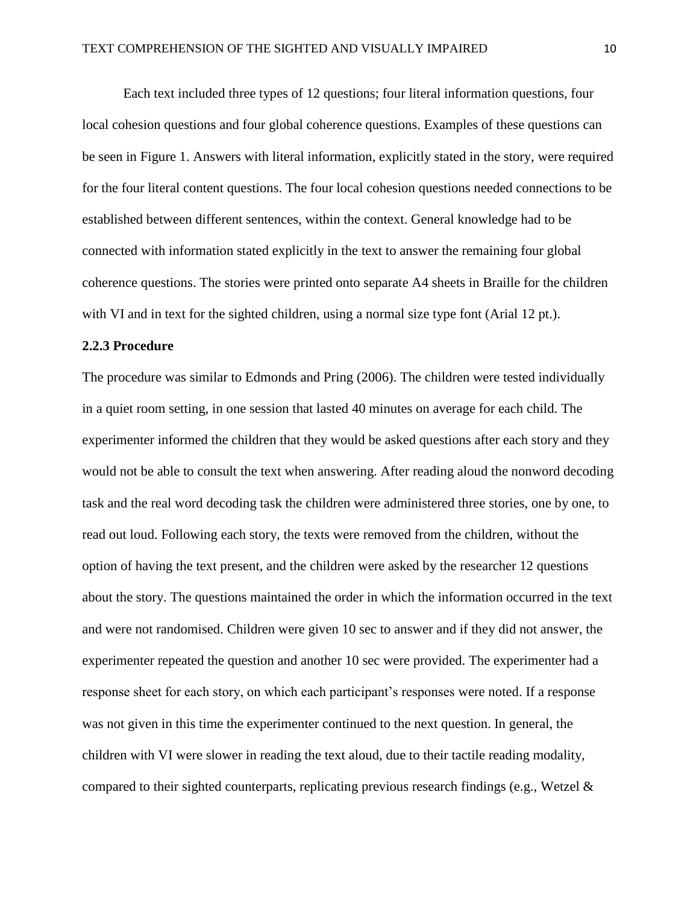Each text included three types of 12 questions; four literal information questions, four local cohesion questions and four global coherence questions. Examples of these questions can be seen in Figure 1. Answers with literal information, explicitly stated in the story, were required for the four literal content questions. The four local cohesion questions needed connections to be established between different sentences, within the context. General knowledge had to be connected with information stated explicitly in the text to answer the remaining four global coherence questions. The stories were printed onto separate A4 sheets in Braille for the children with VI and in text for the sighted children, using a normal size type font (Arial 12 pt.).

#### **2.2.3 Procedure**

The procedure was similar to Edmonds and Pring (2006). The children were tested individually in a quiet room setting, in one session that lasted 40 minutes on average for each child. The experimenter informed the children that they would be asked questions after each story and they would not be able to consult the text when answering. After reading aloud the nonword decoding task and the real word decoding task the children were administered three stories, one by one, to read out loud. Following each story, the texts were removed from the children, without the option of having the text present, and the children were asked by the researcher 12 questions about the story. The questions maintained the order in which the information occurred in the text and were not randomised. Children were given 10 sec to answer and if they did not answer, the experimenter repeated the question and another 10 sec were provided. The experimenter had a response sheet for each story, on which each participant's responses were noted. If a response was not given in this time the experimenter continued to the next question. In general, the children with VI were slower in reading the text aloud, due to their tactile reading modality, compared to their sighted counterparts, replicating previous research findings (e.g., Wetzel &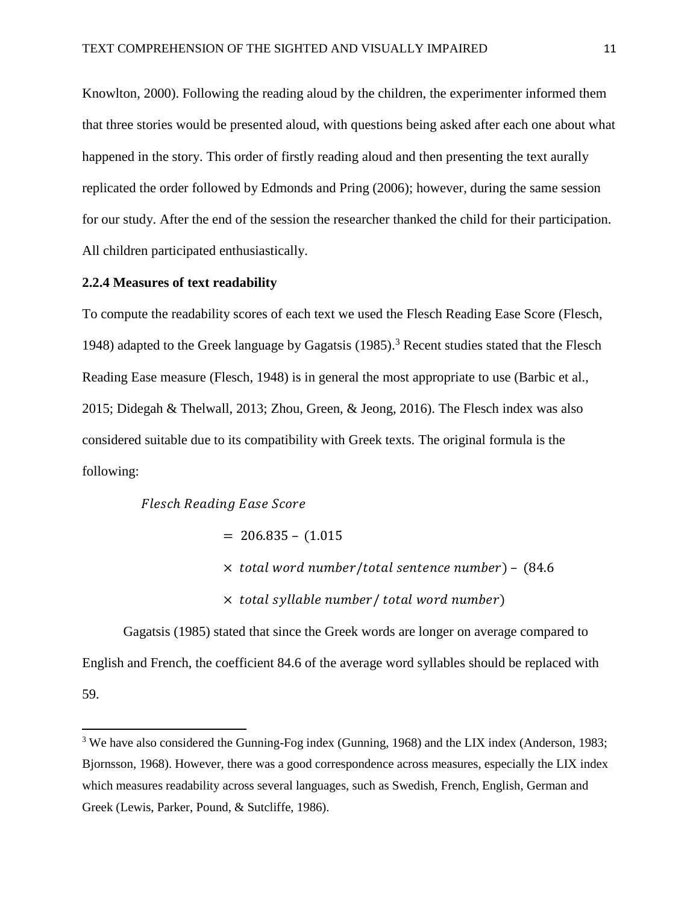Knowlton, 2000). Following the reading aloud by the children, the experimenter informed them that three stories would be presented aloud, with questions being asked after each one about what happened in the story. This order of firstly reading aloud and then presenting the text aurally replicated the order followed by Edmonds and Pring (2006); however, during the same session for our study. After the end of the session the researcher thanked the child for their participation. All children participated enthusiastically.

#### **2.2.4 Measures of text readability**

To compute the readability scores of each text we used the Flesch Reading Ease Score (Flesch, 1948) adapted to the Greek language by Gagatsis  $(1985)$ .<sup>3</sup> Recent studies stated that the Flesch Reading Ease measure (Flesch, 1948) is in general the most appropriate to use (Barbic et al., 2015; Didegah & Thelwall, 2013; Zhou, Green, & Jeong, 2016). The Flesch index was also considered suitable due to its compatibility with Greek texts. The original formula is the following:

#### Flesch Reading Ease Score

 $\overline{a}$ 

 $= 206.835 - (1.015$ 

- $\times$  total word number/total sentence number) (84.6)
- $\times$  total syllable number/total word number)

Gagatsis (1985) stated that since the Greek words are longer on average compared to English and French, the coefficient 84.6 of the average word syllables should be replaced with 59.

<sup>&</sup>lt;sup>3</sup> We have also considered the Gunning-Fog index (Gunning, 1968) and the LIX index (Anderson, 1983; Bjornsson, 1968). However, there was a good correspondence across measures, especially the LIX index which measures readability across several languages, such as Swedish, French, English, German and Greek (Lewis, Parker, Pound, & Sutcliffe, 1986).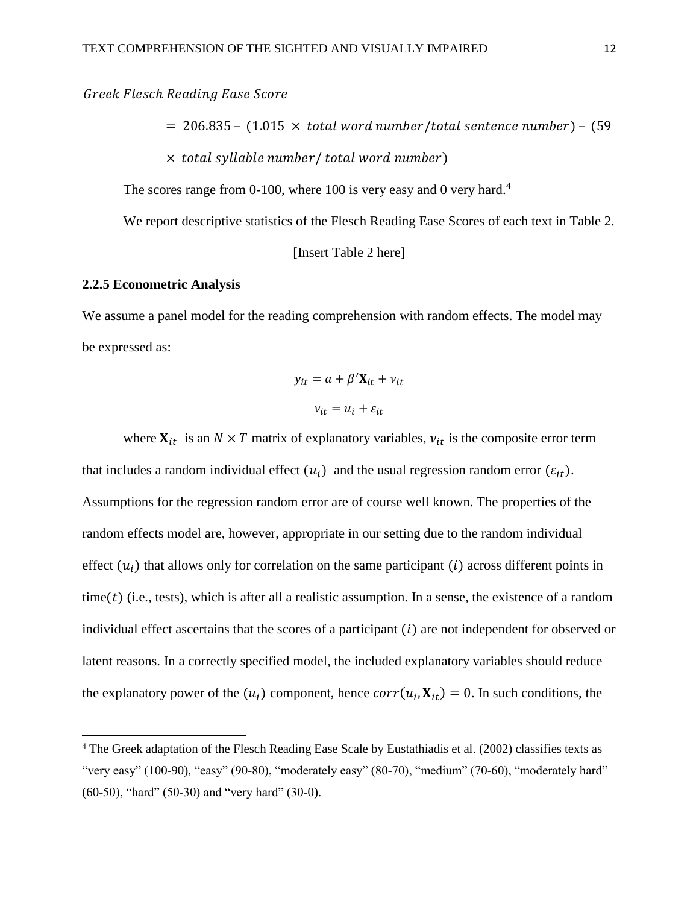Greek Flesch Reading Ease Score

 $= 206.835 - (1.015 \times total word number/total sentence number) - (59$ 

 $\times$  total syllable number/total word number)

The scores range from 0-100, where 100 is very easy and 0 very hard.<sup>4</sup>

We report descriptive statistics of the Flesch Reading Ease Scores of each text in Table 2.

[Insert Table 2 here]

#### **2.2.5 Econometric Analysis**

 $\overline{a}$ 

We assume a panel model for the reading comprehension with random effects. The model may be expressed as:

$$
y_{it} = a + \beta' \mathbf{X}_{it} + v_{it}
$$

$$
v_{it} = u_i + \varepsilon_{it}
$$

where  $X_{it}$  is an  $N \times T$  matrix of explanatory variables,  $v_{it}$  is the composite error term that includes a random individual effect  $(u_i)$  and the usual regression random error  $(\varepsilon_{it})$ . Assumptions for the regression random error are of course well known. The properties of the random effects model are, however, appropriate in our setting due to the random individual effect  $(u_i)$  that allows only for correlation on the same participant  $(i)$  across different points in time( $t$ ) (i.e., tests), which is after all a realistic assumption. In a sense, the existence of a random individual effect ascertains that the scores of a participant  $(i)$  are not independent for observed or latent reasons. In a correctly specified model, the included explanatory variables should reduce the explanatory power of the  $(u_i)$  component, hence  $corr(u_i, X_{it}) = 0$ . In such conditions, the

<sup>&</sup>lt;sup>4</sup> The Greek adaptation of the Flesch Reading Ease Scale by Eustathiadis et al. (2002) classifies texts as "very easy" (100-90), "easy" (90-80), "moderately easy" (80-70), "medium" (70-60), "moderately hard" (60-50), "hard" (50-30) and "very hard" (30-0).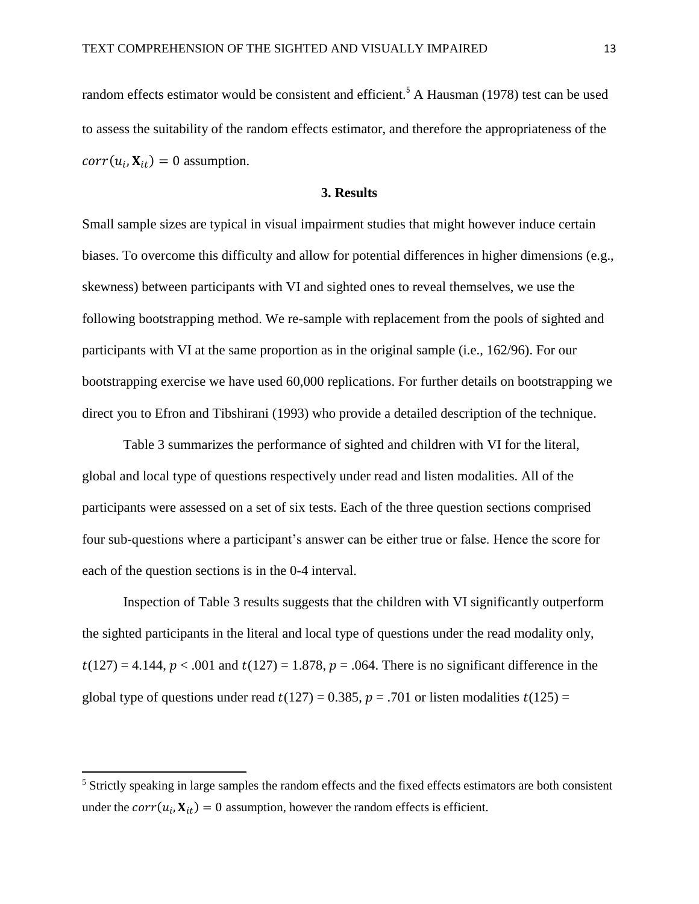random effects estimator would be consistent and efficient.<sup>5</sup> A Hausman (1978) test can be used to assess the suitability of the random effects estimator, and therefore the appropriateness of the  $corr(u_i, \mathbf{X}_{it}) = 0$  assumption.

#### **3. Results**

Small sample sizes are typical in visual impairment studies that might however induce certain biases. To overcome this difficulty and allow for potential differences in higher dimensions (e.g., skewness) between participants with VI and sighted ones to reveal themselves, we use the following bootstrapping method. We re-sample with replacement from the pools of sighted and participants with VI at the same proportion as in the original sample (i.e., 162/96). For our bootstrapping exercise we have used 60,000 replications. For further details on bootstrapping we direct you to Efron and Tibshirani (1993) who provide a detailed description of the technique.

Table 3 summarizes the performance of sighted and children with VI for the literal, global and local type of questions respectively under read and listen modalities. All of the participants were assessed on a set of six tests. Each of the three question sections comprised four sub-questions where a participant's answer can be either true or false. Hence the score for each of the question sections is in the 0-4 interval.

Inspection of Table 3 results suggests that the children with VI significantly outperform the sighted participants in the literal and local type of questions under the read modality only,  $t(127) = 4.144$ ,  $p < .001$  and  $t(127) = 1.878$ ,  $p = .064$ . There is no significant difference in the global type of questions under read  $t(127) = 0.385$ ,  $p = .701$  or listen modalities  $t(125) =$ 

l

<sup>&</sup>lt;sup>5</sup> Strictly speaking in large samples the random effects and the fixed effects estimators are both consistent under the  $corr(u_i, X_{it}) = 0$  assumption, however the random effects is efficient.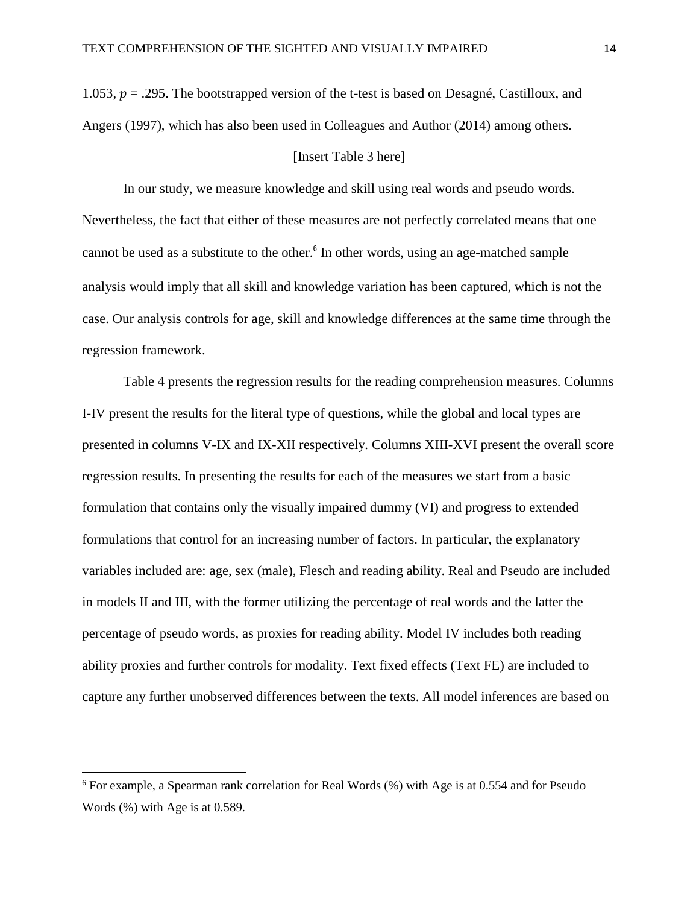1.053,  $p = 0.295$ . The bootstrapped version of the t-test is based on Desagné, Castilloux, and Angers (1997), which has also been used in Colleagues and Author (2014) among others.

#### [Insert Table 3 here]

In our study, we measure knowledge and skill using real words and pseudo words. Nevertheless, the fact that either of these measures are not perfectly correlated means that one cannot be used as a substitute to the other. $6$  In other words, using an age-matched sample analysis would imply that all skill and knowledge variation has been captured, which is not the case. Our analysis controls for age, skill and knowledge differences at the same time through the regression framework.

Table 4 presents the regression results for the reading comprehension measures. Columns I-IV present the results for the literal type of questions, while the global and local types are presented in columns V-IX and IX-XII respectively. Columns XIII-XVI present the overall score regression results. In presenting the results for each of the measures we start from a basic formulation that contains only the visually impaired dummy (VI) and progress to extended formulations that control for an increasing number of factors. In particular, the explanatory variables included are: age, sex (male), Flesch and reading ability. Real and Pseudo are included in models II and III, with the former utilizing the percentage of real words and the latter the percentage of pseudo words, as proxies for reading ability. Model IV includes both reading ability proxies and further controls for modality. Text fixed effects (Text FE) are included to capture any further unobserved differences between the texts. All model inferences are based on

l

<sup>&</sup>lt;sup>6</sup> For example, a Spearman rank correlation for Real Words (%) with Age is at 0.554 and for Pseudo Words (%) with Age is at 0.589.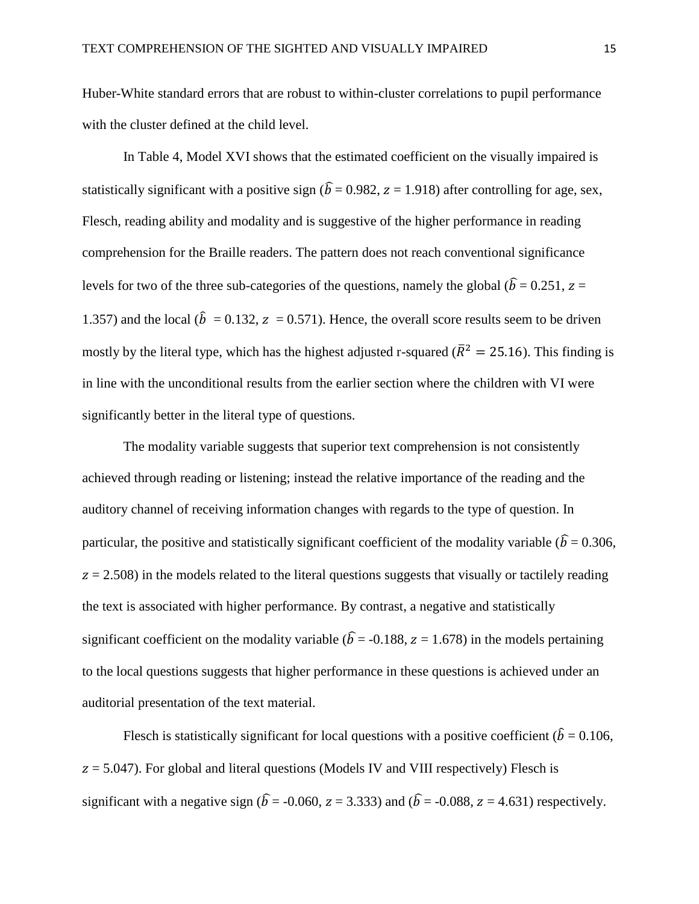Huber-White standard errors that are robust to within-cluster correlations to pupil performance with the cluster defined at the child level.

In Table 4, Model XVI shows that the estimated coefficient on the visually impaired is statistically significant with a positive sign ( $\hat{b} = 0.982$ ,  $z = 1.918$ ) after controlling for age, sex, Flesch, reading ability and modality and is suggestive of the higher performance in reading comprehension for the Braille readers. The pattern does not reach conventional significance levels for two of the three sub-categories of the questions, namely the global ( $\hat{b} = 0.251$ ,  $z =$ 1.357) and the local ( $\hat{b} = 0.132$ ,  $z = 0.571$ ). Hence, the overall score results seem to be driven mostly by the literal type, which has the highest adjusted r-squared ( $\bar{R}^2 = 25.16$ ). This finding is in line with the unconditional results from the earlier section where the children with VI were significantly better in the literal type of questions.

The modality variable suggests that superior text comprehension is not consistently achieved through reading or listening; instead the relative importance of the reading and the auditory channel of receiving information changes with regards to the type of question. In particular, the positive and statistically significant coefficient of the modality variable ( $\hat{b} = 0.306$ ,  $z = 2.508$ ) in the models related to the literal questions suggests that visually or tactilely reading the text is associated with higher performance. By contrast, a negative and statistically significant coefficient on the modality variable ( $\hat{b}$  = -0.188, z = 1.678) in the models pertaining to the local questions suggests that higher performance in these questions is achieved under an auditorial presentation of the text material.

Flesch is statistically significant for local questions with a positive coefficient ( $\hat{b} = 0.106$ ,  $z = 5.047$ ). For global and literal questions (Models IV and VIII respectively) Flesch is significant with a negative sign ( $\hat{b} = -0.060$ ,  $z = 3.333$ ) and ( $\hat{b} = -0.088$ ,  $z = 4.631$ ) respectively.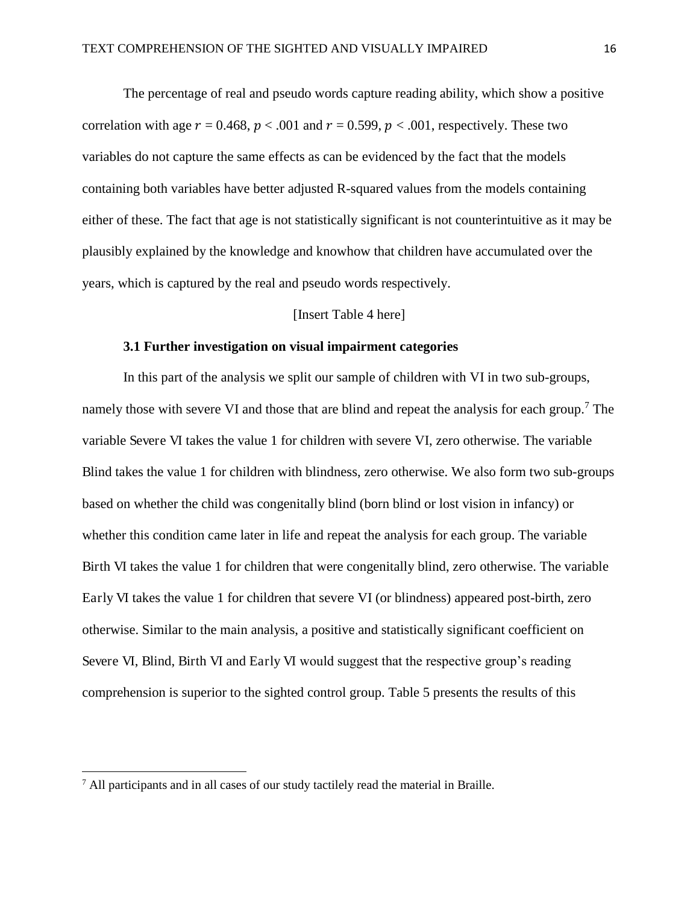The percentage of real and pseudo words capture reading ability, which show a positive correlation with age  $r = 0.468$ ,  $p < .001$  and  $r = 0.599$ ,  $p < .001$ , respectively. These two variables do not capture the same effects as can be evidenced by the fact that the models containing both variables have better adjusted R-squared values from the models containing either of these. The fact that age is not statistically significant is not counterintuitive as it may be plausibly explained by the knowledge and knowhow that children have accumulated over the years, which is captured by the real and pseudo words respectively.

#### [Insert Table 4 here]

#### **3.1 Further investigation on visual impairment categories**

In this part of the analysis we split our sample of children with VI in two sub-groups, namely those with severe VI and those that are blind and repeat the analysis for each group.<sup>7</sup> The variable Severe VI takes the value 1 for children with severe VI, zero otherwise. The variable Blind takes the value 1 for children with blindness, zero otherwise. We also form two sub-groups based on whether the child was congenitally blind (born blind or lost vision in infancy) or whether this condition came later in life and repeat the analysis for each group. The variable Birth VI takes the value 1 for children that were congenitally blind, zero otherwise. The variable Early VI takes the value 1 for children that severe VI (or blindness) appeared post-birth, zero otherwise. Similar to the main analysis, a positive and statistically significant coefficient on Severe VI, Blind, Birth VI and Early VI would suggest that the respective group's reading comprehension is superior to the sighted control group. Table 5 presents the results of this

 $\overline{a}$ 

 $<sup>7</sup>$  All participants and in all cases of our study tactilely read the material in Braille.</sup>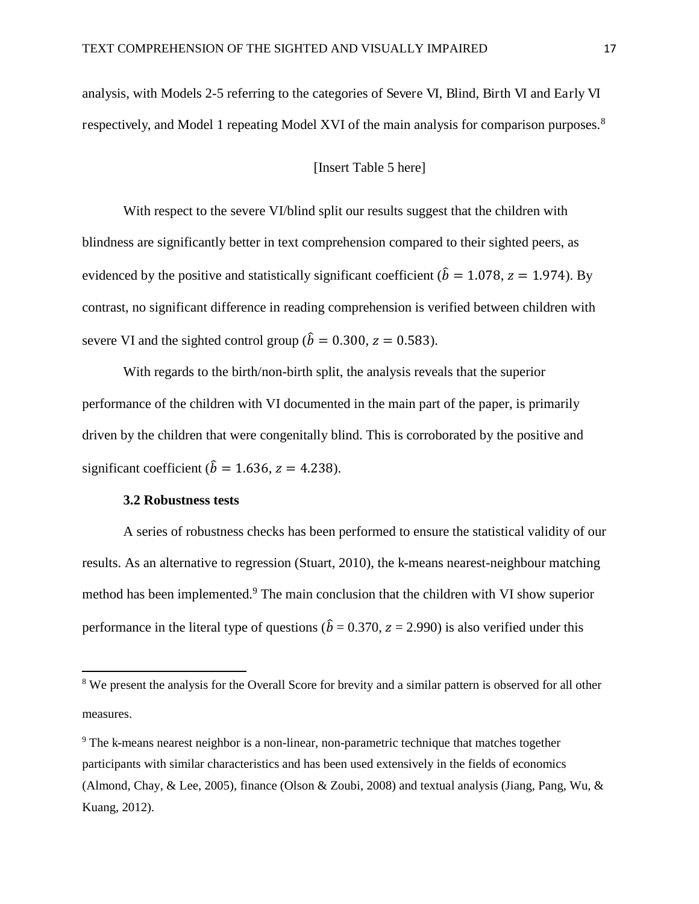analysis, with Models 2-5 referring to the categories of Severe VI, Blind, Birth VI and Early VI respectively, and Model 1 repeating Model XVI of the main analysis for comparison purposes.<sup>8</sup>

#### [Insert Table 5 here]

With respect to the severe VI/blind split our results suggest that the children with blindness are significantly better in text comprehension compared to their sighted peers, as evidenced by the positive and statistically significant coefficient ( $\hat{b} = 1.078$ ,  $z = 1.974$ ). By contrast, no significant difference in reading comprehension is verified between children with severe VI and the sighted control group ( $\hat{b} = 0.300$ ,  $z = 0.583$ ).

With regards to the birth/non-birth split, the analysis reveals that the superior performance of the children with VI documented in the main part of the paper, is primarily driven by the children that were congenitally blind. This is corroborated by the positive and significant coefficient ( $\hat{b} = 1.636$ ,  $z = 4.238$ ).

#### **3.2 Robustness tests**

 $\overline{a}$ 

A series of robustness checks has been performed to ensure the statistical validity of our results. As an alternative to regression (Stuart, 2010), the k-means nearest-neighbour matching method has been implemented.<sup>9</sup> The main conclusion that the children with VI show superior performance in the literal type of questions ( $\hat{b} = 0.370$ ,  $z = 2.990$ ) is also verified under this

<sup>&</sup>lt;sup>8</sup> We present the analysis for the Overall Score for brevity and a similar pattern is observed for all other measures.

<sup>&</sup>lt;sup>9</sup> The k-means nearest neighbor is a non-linear, non-parametric technique that matches together participants with similar characteristics and has been used extensively in the fields of economics (Almond, Chay, & Lee, 2005), finance (Olson & Zoubi, 2008) and textual analysis (Jiang, Pang, Wu, & Kuang, 2012).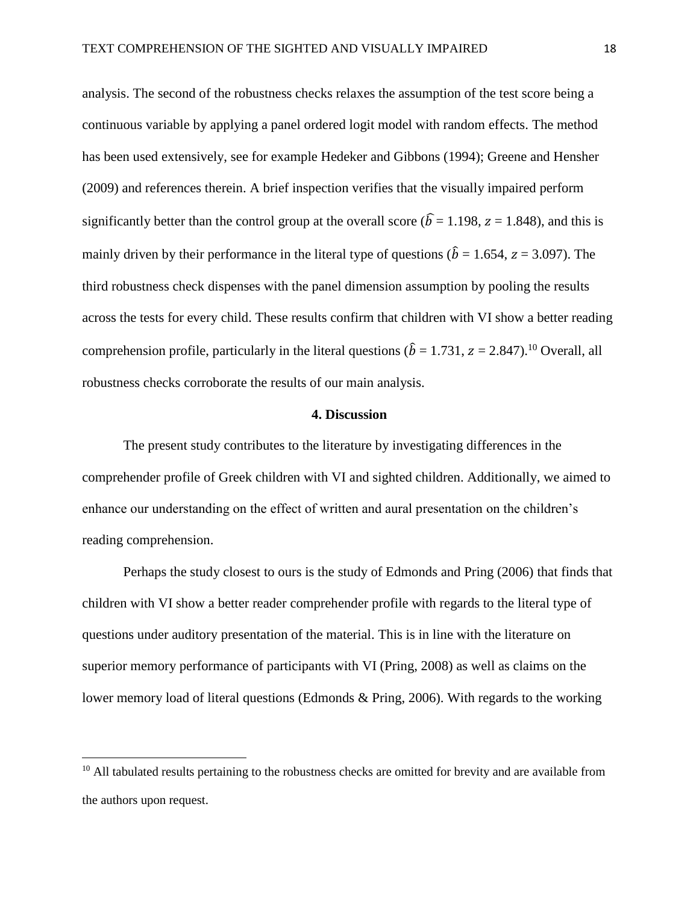analysis. The second of the robustness checks relaxes the assumption of the test score being a continuous variable by applying a panel ordered logit model with random effects. The method has been used extensively, see for example Hedeker and Gibbons (1994); Greene and Hensher (2009) and references therein. A brief inspection verifies that the visually impaired perform significantly better than the control group at the overall score ( $\hat{b} = 1.198$ ,  $z = 1.848$ ), and this is mainly driven by their performance in the literal type of questions ( $\hat{b} = 1.654$ ,  $z = 3.097$ ). The third robustness check dispenses with the panel dimension assumption by pooling the results across the tests for every child. These results confirm that children with VI show a better reading comprehension profile, particularly in the literal questions ( $\hat{b} = 1.731$ ,  $z = 2.847$ ).<sup>10</sup> Overall, all robustness checks corroborate the results of our main analysis.

#### **4. Discussion**

The present study contributes to the literature by investigating differences in the comprehender profile of Greek children with VI and sighted children. Additionally, we aimed to enhance our understanding on the effect of written and aural presentation on the children's reading comprehension.

 Perhaps the study closest to ours is the study of Edmonds and Pring (2006) that finds that children with VI show a better reader comprehender profile with regards to the literal type of questions under auditory presentation of the material. This is in line with the literature on superior memory performance of participants with VI (Pring, 2008) as well as claims on the lower memory load of literal questions (Edmonds & Pring, 2006). With regards to the working

l

<sup>&</sup>lt;sup>10</sup> All tabulated results pertaining to the robustness checks are omitted for brevity and are available from the authors upon request.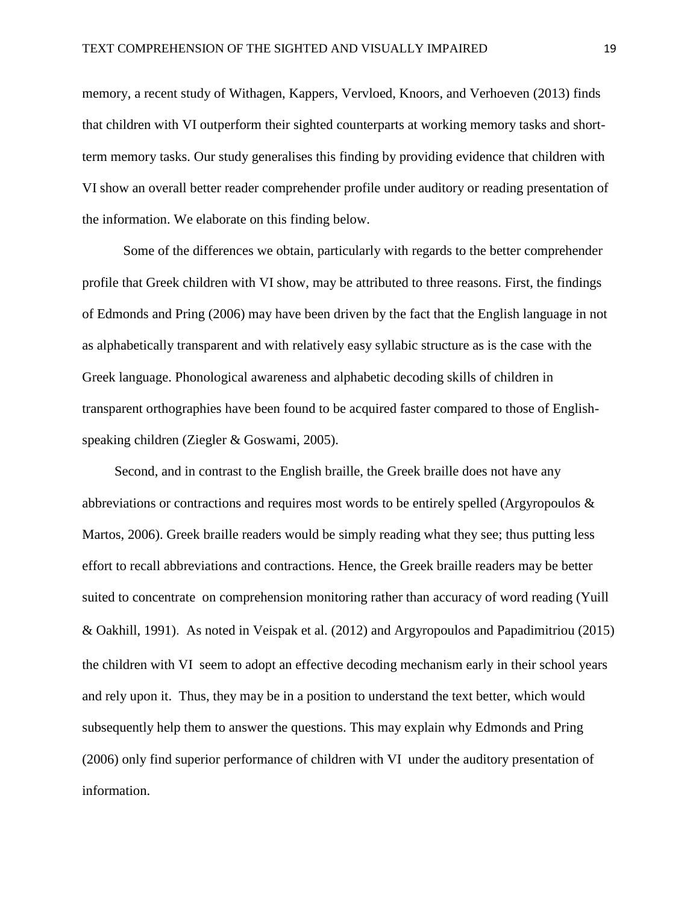memory, a recent study of Withagen, Kappers, Vervloed, Knoors, and Verhoeven (2013) finds that children with VI outperform their sighted counterparts at working memory tasks and shortterm memory tasks. Our study generalises this finding by providing evidence that children with VI show an overall better reader comprehender profile under auditory or reading presentation of the information. We elaborate on this finding below.

 Some of the differences we obtain, particularly with regards to the better comprehender profile that Greek children with VI show, may be attributed to three reasons. First, the findings of Edmonds and Pring (2006) may have been driven by the fact that the English language in not as alphabetically transparent and with relatively easy syllabic structure as is the case with the Greek language. Phonological awareness and alphabetic decoding skills of children in transparent orthographies have been found to be acquired faster compared to those of Englishspeaking children (Ziegler & Goswami, 2005).

Second, and in contrast to the English braille, the Greek braille does not have any abbreviations or contractions and requires most words to be entirely spelled (Argyropoulos & Martos, 2006). Greek braille readers would be simply reading what they see; thus putting less effort to recall abbreviations and contractions. Hence, the Greek braille readers may be better suited to concentrate on comprehension monitoring rather than accuracy of word reading (Yuill & Oakhill, 1991). As noted in Veispak et al. (2012) and Argyropoulos and Papadimitriou (2015) the children with VI seem to adopt an effective decoding mechanism early in their school years and rely upon it. Thus, they may be in a position to understand the text better, which would subsequently help them to answer the questions. This may explain why Edmonds and Pring (2006) only find superior performance of children with VI under the auditory presentation of information.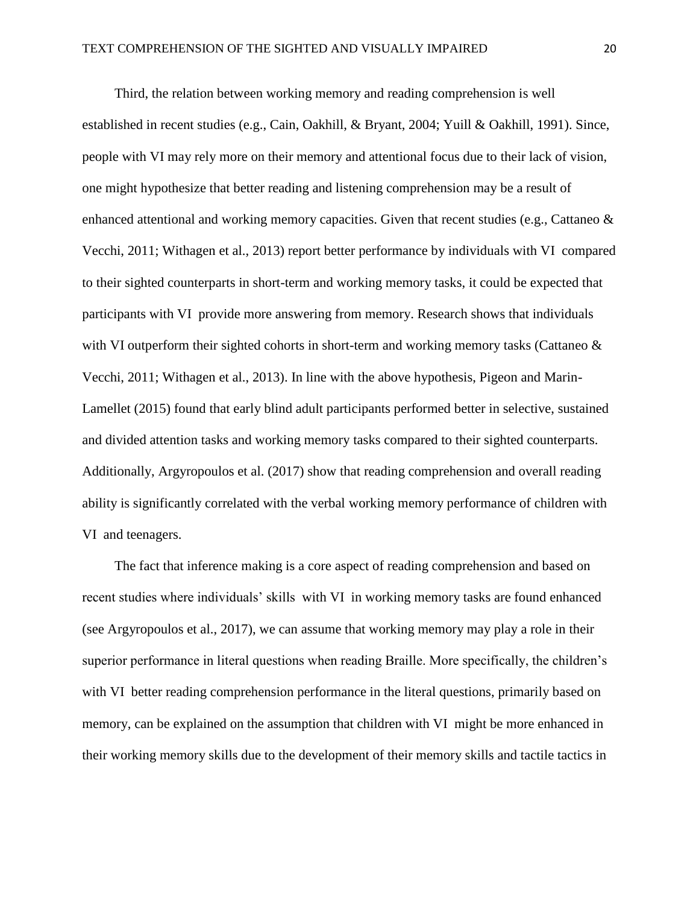Third, the relation between working memory and reading comprehension is well established in recent studies (e.g., Cain, Oakhill, & Bryant, 2004; Yuill & Oakhill, 1991). Since, people with VI may rely more on their memory and attentional focus due to their lack of vision, one might hypothesize that better reading and listening comprehension may be a result of enhanced attentional and working memory capacities. Given that recent studies (e.g., Cattaneo & Vecchi, 2011; Withagen et al., 2013) report better performance by individuals with VI compared to their sighted counterparts in short-term and working memory tasks, it could be expected that participants with VI provide more answering from memory. Research shows that individuals with VI outperform their sighted cohorts in short-term and working memory tasks (Cattaneo & Vecchi, 2011; Withagen et al., 2013). In line with the above hypothesis, Pigeon and Marin-Lamellet (2015) found that early blind adult participants performed better in selective, sustained and divided attention tasks and working memory tasks compared to their sighted counterparts. Additionally, Argyropoulos et al. (2017) show that reading comprehension and overall reading ability is significantly correlated with the verbal working memory performance of children with VI and teenagers.

The fact that inference making is a core aspect of reading comprehension and based on recent studies where individuals' skills with VI in working memory tasks are found enhanced (see Argyropoulos et al., 2017), we can assume that working memory may play a role in their superior performance in literal questions when reading Braille. More specifically, the children's with VI better reading comprehension performance in the literal questions, primarily based on memory, can be explained on the assumption that children with VI might be more enhanced in their working memory skills due to the development of their memory skills and tactile tactics in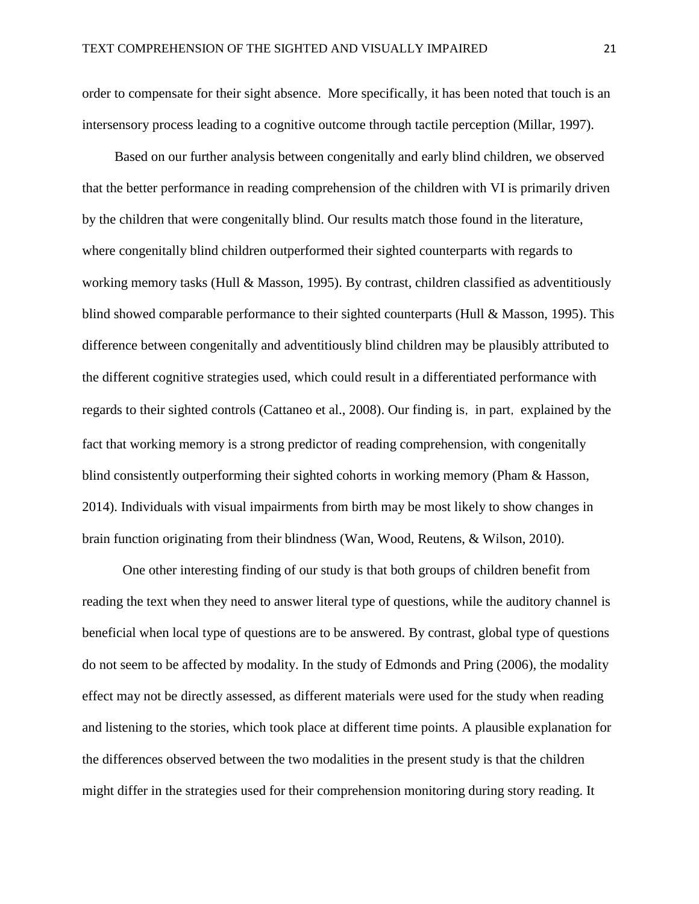order to compensate for their sight absence. More specifically, it has been noted that touch is an intersensory process leading to a cognitive outcome through tactile perception (Millar, 1997).

Based on our further analysis between congenitally and early blind children, we observed that the better performance in reading comprehension of the children with VI is primarily driven by the children that were congenitally blind. Our results match those found in the literature, where congenitally blind children outperformed their sighted counterparts with regards to working memory tasks (Hull & Masson, 1995). By contrast, children classified as adventitiously blind showed comparable performance to their sighted counterparts (Hull & Masson, 1995). This difference between congenitally and adventitiously blind children may be plausibly attributed to the different cognitive strategies used, which could result in a differentiated performance with regards to their sighted controls (Cattaneo et al., 2008). Our finding is, in part, explained by the fact that working memory is a strong predictor of reading comprehension, with congenitally blind consistently outperforming their sighted cohorts in working memory (Pham & Hasson, 2014). Individuals with visual impairments from birth may be most likely to show changes in brain function originating from their blindness (Wan, Wood, Reutens, & Wilson, 2010).

One other interesting finding of our study is that both groups of children benefit from reading the text when they need to answer literal type of questions, while the auditory channel is beneficial when local type of questions are to be answered. By contrast, global type of questions do not seem to be affected by modality. In the study of Edmonds and Pring (2006), the modality effect may not be directly assessed, as different materials were used for the study when reading and listening to the stories, which took place at different time points. A plausible explanation for the differences observed between the two modalities in the present study is that the children might differ in the strategies used for their comprehension monitoring during story reading. It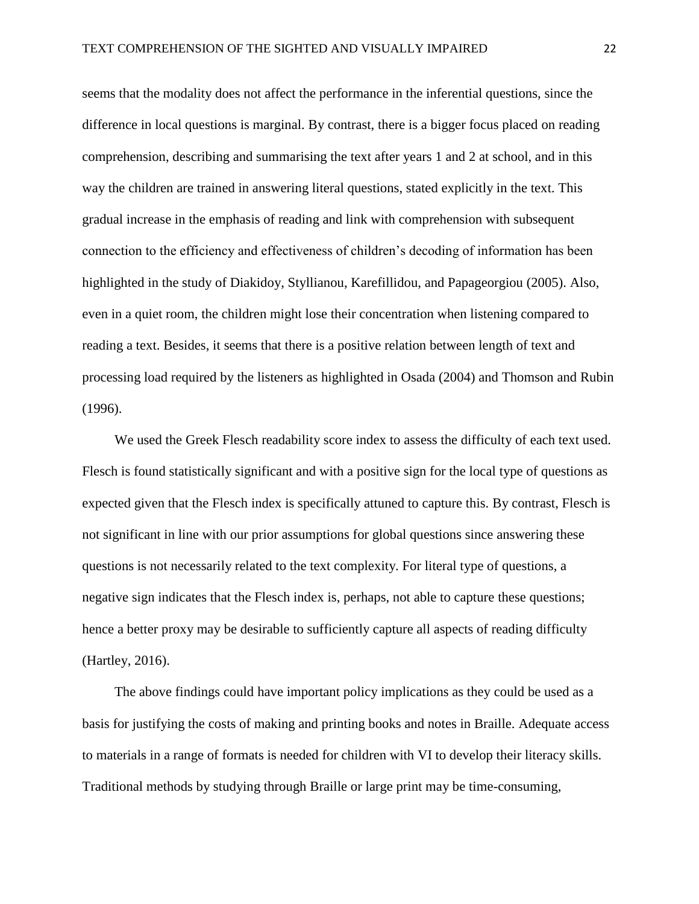seems that the modality does not affect the performance in the inferential questions, since the difference in local questions is marginal. By contrast, there is a bigger focus placed on reading comprehension, describing and summarising the text after years 1 and 2 at school, and in this way the children are trained in answering literal questions, stated explicitly in the text. This gradual increase in the emphasis of reading and link with comprehension with subsequent connection to the efficiency and effectiveness of children's decoding of information has been highlighted in the study of Diakidoy, Styllianou, Karefillidou, and Papageorgiou (2005). Also, even in a quiet room, the children might lose their concentration when listening compared to reading a text. Besides, it seems that there is a positive relation between length of text and processing load required by the listeners as highlighted in Osada (2004) and Thomson and Rubin (1996).

We used the Greek Flesch readability score index to assess the difficulty of each text used. Flesch is found statistically significant and with a positive sign for the local type of questions as expected given that the Flesch index is specifically attuned to capture this. By contrast, Flesch is not significant in line with our prior assumptions for global questions since answering these questions is not necessarily related to the text complexity. For literal type of questions, a negative sign indicates that the Flesch index is, perhaps, not able to capture these questions; hence a better proxy may be desirable to sufficiently capture all aspects of reading difficulty (Hartley, 2016).

The above findings could have important policy implications as they could be used as a basis for justifying the costs of making and printing books and notes in Braille. Adequate access to materials in a range of formats is needed for children with VI to develop their literacy skills. Traditional methods by studying through Braille or large print may be time-consuming,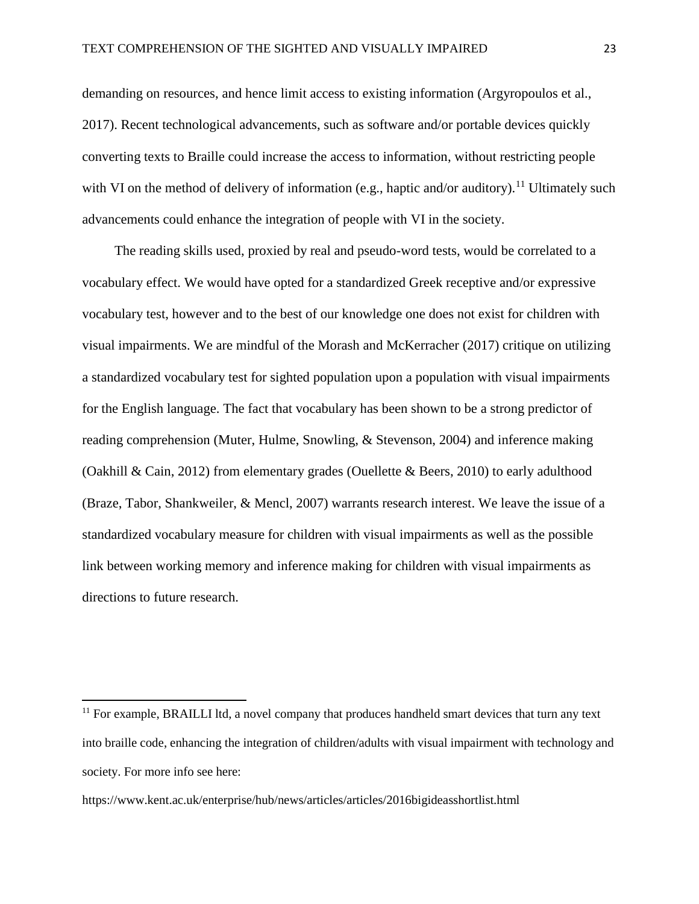demanding on resources, and hence limit access to existing information (Argyropoulos et al., 2017). Recent technological advancements, such as software and/or portable devices quickly converting texts to Braille could increase the access to information, without restricting people with VI on the method of delivery of information (e.g., haptic and/or auditory).<sup>11</sup> Ultimately such advancements could enhance the integration of people with VI in the society.

The reading skills used, proxied by real and pseudo-word tests, would be correlated to a vocabulary effect. We would have opted for a standardized Greek receptive and/or expressive vocabulary test, however and to the best of our knowledge one does not exist for children with visual impairments. We are mindful of the Morash and McKerracher (2017) critique on utilizing a standardized vocabulary test for sighted population upon a population with visual impairments for the English language. The fact that vocabulary has been shown to be a strong predictor of reading comprehension (Muter, Hulme, Snowling, & Stevenson, 2004) and inference making (Oakhill & Cain, 2012) from elementary grades (Ouellette & Beers, 2010) to early adulthood (Braze, Tabor, Shankweiler, & Mencl, 2007) warrants research interest. We leave the issue of a standardized vocabulary measure for children with visual impairments as well as the possible link between working memory and inference making for children with visual impairments as directions to future research.

https://www.kent.ac.uk/enterprise/hub/news/articles/articles/2016bigideasshortlist.html

l

<sup>&</sup>lt;sup>11</sup> For example, BRAILLI ltd, a novel company that produces handheld smart devices that turn any text into braille code, enhancing the integration of children/adults with visual impairment with technology and society. For more info see here: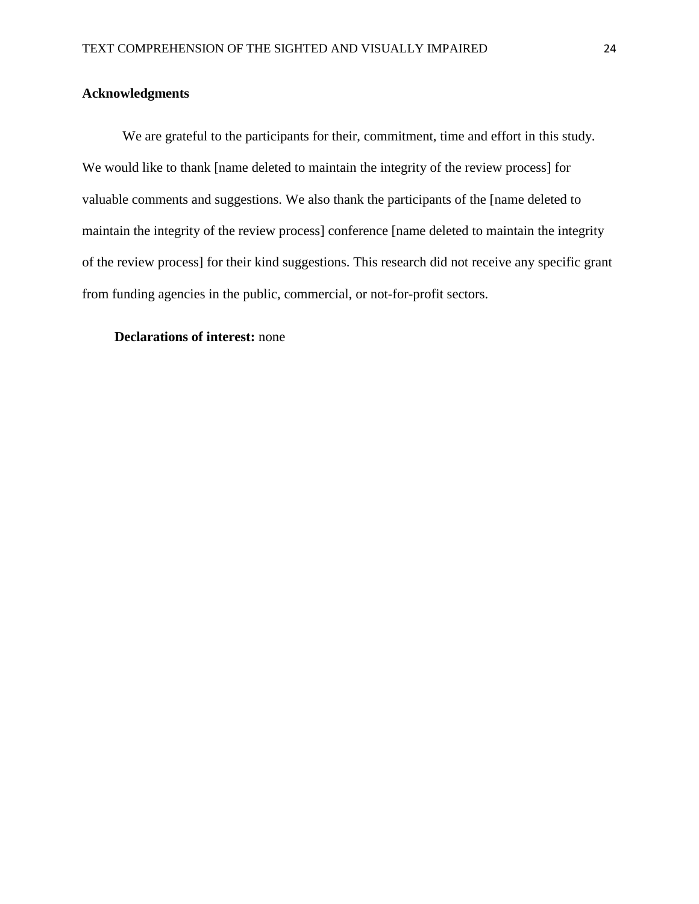#### **Acknowledgments**

We are grateful to the participants for their, commitment, time and effort in this study. We would like to thank [name deleted to maintain the integrity of the review process] for valuable comments and suggestions. We also thank the participants of the [name deleted to maintain the integrity of the review process] conference [name deleted to maintain the integrity of the review process] for their kind suggestions. This research did not receive any specific grant from funding agencies in the public, commercial, or not-for-profit sectors.

#### **Declarations of interest:** none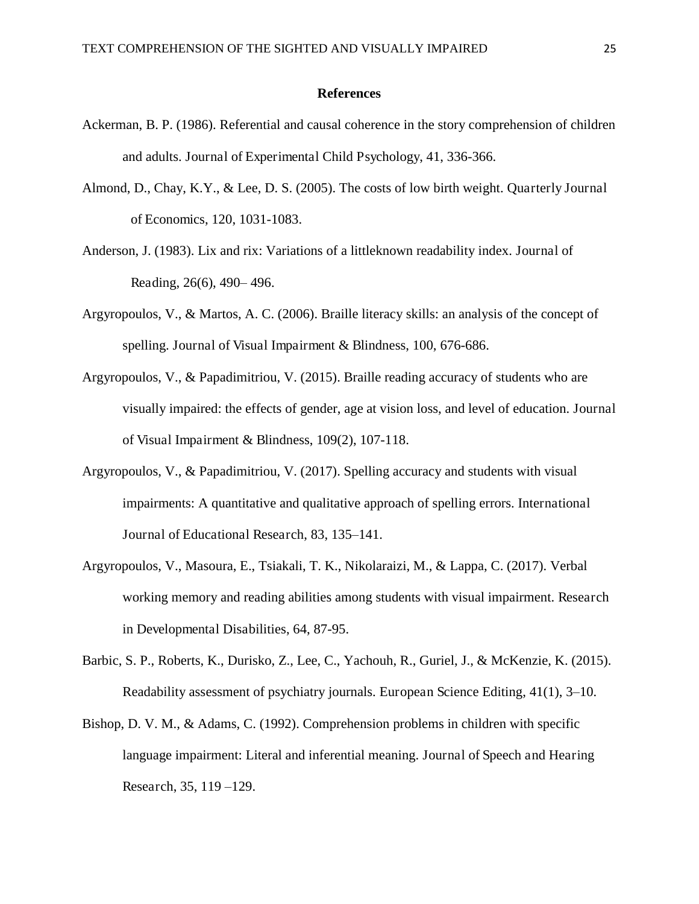#### **References**

- Ackerman, B. P. (1986). Referential and causal coherence in the story comprehension of children and adults. Journal of Experimental Child Psychology, 41, 336-366.
- Almond, D., Chay, K.Y., & Lee, D. S. (2005). The costs of low birth weight. Quarterly Journal of Economics, 120, 1031-1083.
- Anderson, J. (1983). Lix and rix: Variations of a littleknown readability index. Journal of Reading, 26(6), 490– 496.
- Argyropoulos, V., & Martos, A. C. (2006). Braille literacy skills: an analysis of the concept of spelling. Journal of Visual Impairment & Blindness, 100, 676-686.
- Argyropoulos, V., & Papadimitriou, V. (2015). Braille reading accuracy of students who are visually impaired: the effects of gender, age at vision loss, and level of education. Journal of Visual Impairment & Blindness, 109(2), 107-118.
- Argyropoulos, V., & Papadimitriou, V. (2017). Spelling accuracy and students with visual impairments: A quantitative and qualitative approach of spelling errors. International Journal of Educational Research, 83, 135–141.
- Argyropoulos, V., Masoura, E., Tsiakali, T. K., Nikolaraizi, M., & Lappa, C. (2017). Verbal working memory and reading abilities among students with visual impairment. Research in Developmental Disabilities, 64, 87-95.
- Barbic, S. P., Roberts, K., Durisko, Z., Lee, C., Yachouh, R., Guriel, J., & McKenzie, K. (2015). Readability assessment of psychiatry journals. European Science Editing, 41(1), 3–10.
- Bishop, D. V. M., & Adams, C. (1992). Comprehension problems in children with specific language impairment: Literal and inferential meaning. Journal of Speech and Hearing Research, 35, 119 –129.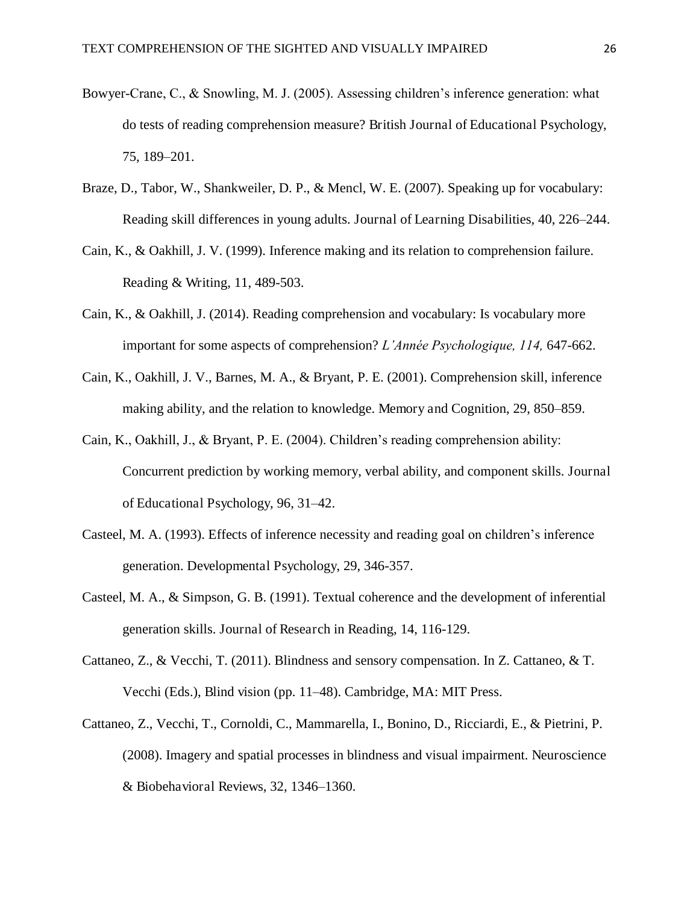- Bowyer-Crane, C., & Snowling, M. J. (2005). Assessing children's inference generation: what do tests of reading comprehension measure? British Journal of Educational Psychology, 75, 189–201.
- Braze, D., Tabor, W., Shankweiler, D. P., & Mencl, W. E. (2007). Speaking up for vocabulary: Reading skill differences in young adults. Journal of Learning Disabilities, 40, 226–244.
- Cain, K., & Oakhill, J. V. (1999). Inference making and its relation to comprehension failure. Reading & Writing, 11, 489-503.
- Cain, K., & Oakhill, J. (2014). Reading comprehension and vocabulary: Is vocabulary more important for some aspects of comprehension? *L'Année Psychologique, 114,* 647-662.
- Cain, K., Oakhill, J. V., Barnes, M. A., & Bryant, P. E. (2001). Comprehension skill, inference making ability, and the relation to knowledge. Memory and Cognition, 29, 850–859.
- Cain, K., Oakhill, J., & Bryant, P. E. (2004). Children's reading comprehension ability: Concurrent prediction by working memory, verbal ability, and component skills. Journal of Educational Psychology, 96, 31–42.
- Casteel, M. A. (1993). Effects of inference necessity and reading goal on children's inference generation. Developmental Psychology, 29, 346-357.
- Casteel, M. A., & Simpson, G. B. (1991). Textual coherence and the development of inferential generation skills. Journal of Research in Reading, 14, 116-129.
- Cattaneo, Z., & Vecchi, T. (2011). Blindness and sensory compensation. In Z. Cattaneo, & T. Vecchi (Eds.), Blind vision (pp. 11–48). Cambridge, MA: MIT Press.
- Cattaneo, Z., Vecchi, T., Cornoldi, C., Mammarella, I., Bonino, D., Ricciardi, E., & Pietrini, P. (2008). Imagery and spatial processes in blindness and visual impairment. Neuroscience & Biobehavioral Reviews, 32, 1346–1360.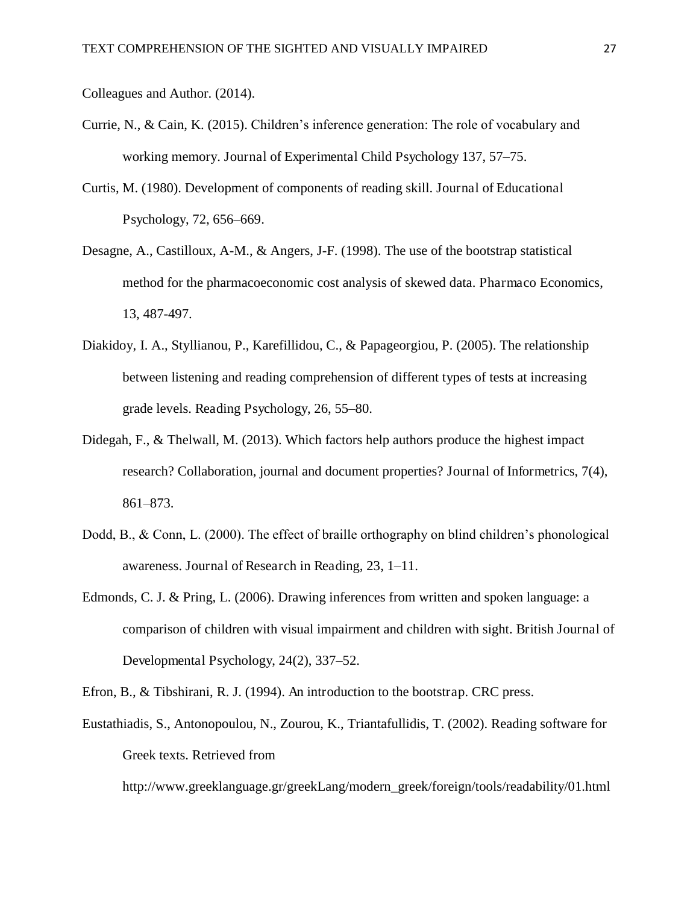Colleagues and Author. (2014).

- Currie, N., & Cain, K. (2015). Children's inference generation: The role of vocabulary and working memory. Journal of Experimental Child Psychology 137, 57–75.
- Curtis, M. (1980). Development of components of reading skill. Journal of Educational Psychology, 72, 656–669.
- Desagne, A., Castilloux, A-M., & Angers, J-F. (1998). The use of the bootstrap statistical method for the pharmacoeconomic cost analysis of skewed data. Pharmaco Economics, 13, 487-497.
- Diakidoy, I. A., Styllianou, P., Karefillidou, C., & Papageorgiou, P. (2005). The relationship between listening and reading comprehension of different types of tests at increasing grade levels. Reading Psychology, 26, 55–80.
- Didegah, F., & Thelwall, M. (2013). Which factors help authors produce the highest impact research? Collaboration, journal and document properties? Journal of Informetrics, 7(4), 861–873.
- Dodd, B., & Conn, L. (2000). The effect of braille orthography on blind children's phonological awareness. Journal of Research in Reading, 23, 1–11.
- Edmonds, C. J. & Pring, L. (2006). Drawing inferences from written and spoken language: a comparison of children with visual impairment and children with sight. British Journal of Developmental Psychology, 24(2), 337–52.
- Efron, B., & Tibshirani, R. J. (1994). An introduction to the bootstrap. CRC press.
- Eustathiadis, S., Antonopoulou, N., Zourou, K., Triantafullidis, T. (2002). Reading software for Greek texts. Retrieved from

http://www.greeklanguage.gr/greekLang/modern\_greek/foreign/tools/readability/01.html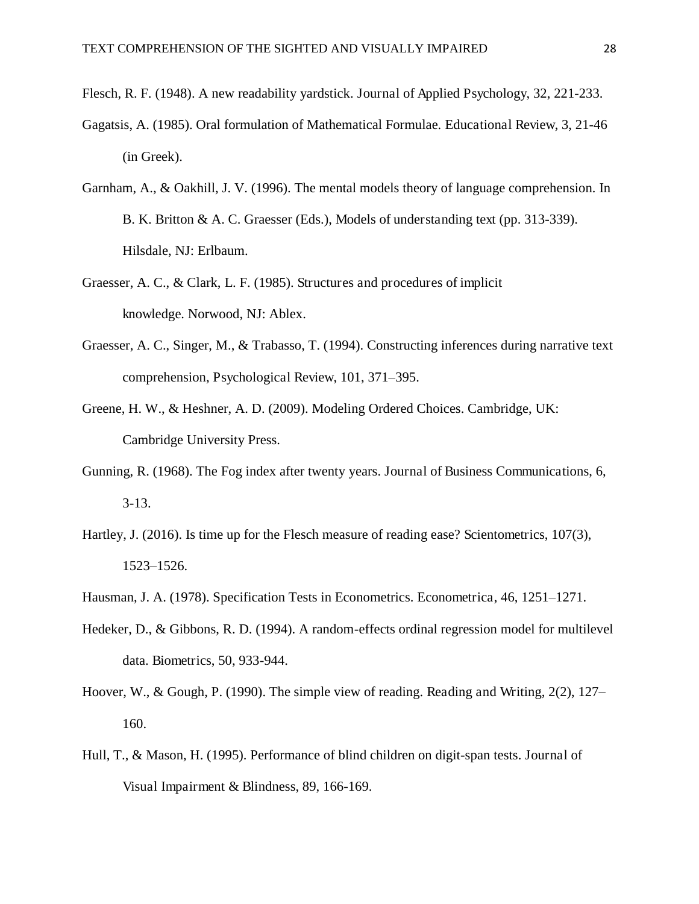- Flesch, R. F. (1948). A new readability yardstick. Journal of Applied Psychology, 32, 221-233.
- Gagatsis, A. (1985). Oral formulation of Mathematical Formulae. Educational Review, 3, 21-46 (in Greek).
- Garnham, A., & Oakhill, J. V. (1996). The mental models theory of language comprehension. In B. K. Britton & A. C. Graesser (Eds.), Models of understanding text (pp. 313-339). Hilsdale, NJ: Erlbaum.
- Graesser, A. C., & Clark, L. F. (1985). Structures and procedures of implicit knowledge. Norwood, NJ: Ablex.
- Graesser, A. C., Singer, M., & Trabasso, T. (1994). Constructing inferences during narrative text comprehension, Psychological Review, 101, 371–395.
- Greene, H. W., & Heshner, A. D. (2009). Modeling Ordered Choices. Cambridge, UK: Cambridge University Press.
- Gunning, R. (1968). The Fog index after twenty years. Journal of Business Communications, 6, 3-13.
- Hartley, J. (2016). Is time up for the Flesch measure of reading ease? Scientometrics, 107(3), 1523–1526.
- Hausman, J. A. (1978). Specification Tests in Econometrics. Econometrica, 46, 1251–1271.
- Hedeker, D., & Gibbons, R. D. (1994). A random-effects ordinal regression model for multilevel data. Biometrics, 50, 933-944.
- Hoover, W., & Gough, P. (1990). The simple view of reading. Reading and Writing, 2(2), 127– 160.
- Hull, T., & Mason, H. (1995). Performance of blind children on digit-span tests. Journal of Visual Impairment & Blindness, 89, 166-169.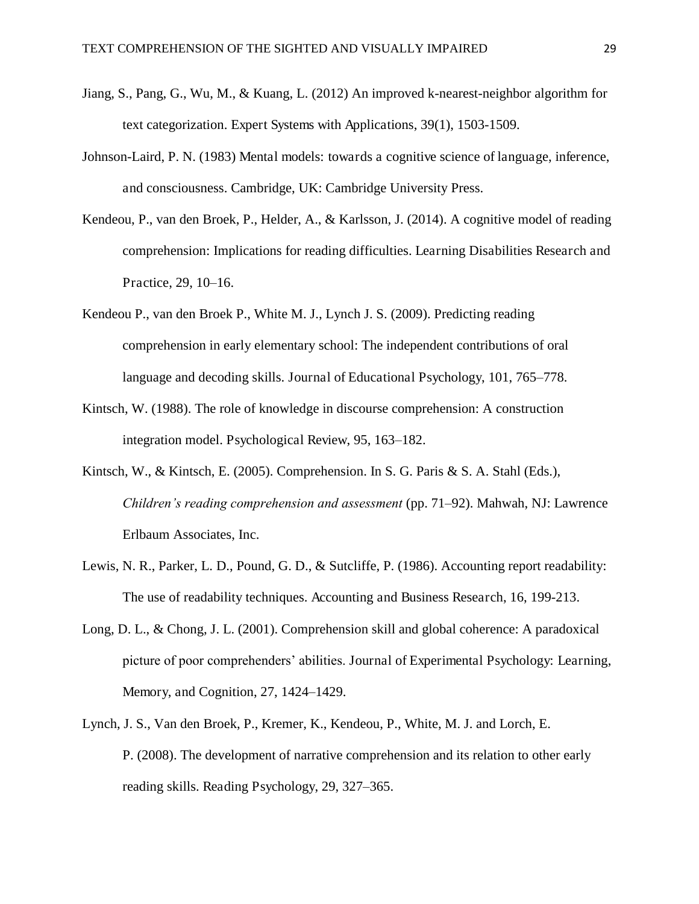- Jiang, S., Pang, G., Wu, M., & Kuang, L. (2012) An improved k-nearest-neighbor algorithm for text categorization. Expert Systems with Applications, 39(1), 1503-1509.
- Johnson-Laird, P. N. (1983) Mental models: towards a cognitive science of language, inference, and consciousness. Cambridge, UK: Cambridge University Press.
- Kendeou, P., van den Broek, P., Helder, A., & Karlsson, J. (2014). A cognitive model of reading comprehension: Implications for reading difficulties. Learning Disabilities Research and Practice, 29, 10–16.
- Kendeou P., van den Broek P., White M. J., Lynch J. S. (2009). Predicting reading comprehension in early elementary school: The independent contributions of oral language and decoding skills. Journal of Educational Psychology, 101, 765–778.
- Kintsch, W. (1988). The role of knowledge in discourse comprehension: A construction integration model. Psychological Review, 95, 163–182.
- Kintsch, W., & Kintsch, E. (2005). Comprehension. In S. G. Paris & S. A. Stahl (Eds.), *Children's reading comprehension and assessment* (pp. 71–92). Mahwah, NJ: Lawrence Erlbaum Associates, Inc.
- Lewis, N. R., Parker, L. D., Pound, G. D., & Sutcliffe, P. (1986). Accounting report readability: The use of readability techniques. Accounting and Business Research, 16, 199-213.
- Long, D. L., & Chong, J. L. (2001). Comprehension skill and global coherence: A paradoxical picture of poor comprehenders' abilities. Journal of Experimental Psychology: Learning, Memory, and Cognition, 27, 1424–1429.
- Lynch, J. S., Van den Broek, P., Kremer, K., Kendeou, P., White, M. J. and Lorch, E. P. (2008). The development of narrative comprehension and its relation to other early reading skills. Reading Psychology, 29, 327–365.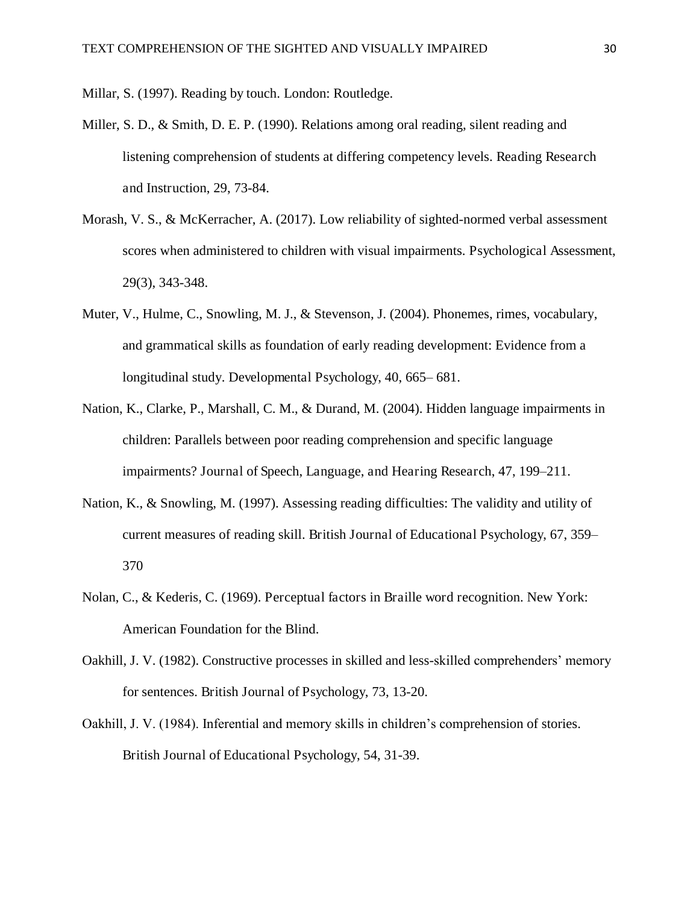Millar, S. (1997). Reading by touch. London: Routledge.

- Miller, S. D., & Smith, D. E. P. (1990). Relations among oral reading, silent reading and listening comprehension of students at differing competency levels. Reading Research and Instruction, 29, 73-84.
- Morash, V. S., & McKerracher, A. (2017). Low reliability of sighted-normed verbal assessment scores when administered to children with visual impairments. Psychological Assessment, 29(3), 343-348.
- Muter, V., Hulme, C., Snowling, M. J., & Stevenson, J. (2004). Phonemes, rimes, vocabulary, and grammatical skills as foundation of early reading development: Evidence from a longitudinal study. Developmental Psychology, 40, 665– 681.
- Nation, K., Clarke, P., Marshall, C. M., & Durand, M. (2004). Hidden language impairments in children: Parallels between poor reading comprehension and specific language impairments? Journal of Speech, Language, and Hearing Research, 47, 199–211.
- Nation, K., & Snowling, M. (1997). Assessing reading difficulties: The validity and utility of current measures of reading skill. British Journal of Educational Psychology, 67, 359– 370
- Nolan, C., & Kederis, C. (1969). Perceptual factors in Braille word recognition. New York: American Foundation for the Blind.
- Oakhill, J. V. (1982). Constructive processes in skilled and less-skilled comprehenders' memory for sentences. British Journal of Psychology, 73, 13-20.
- Oakhill, J. V. (1984). Inferential and memory skills in children's comprehension of stories. British Journal of Educational Psychology, 54, 31-39.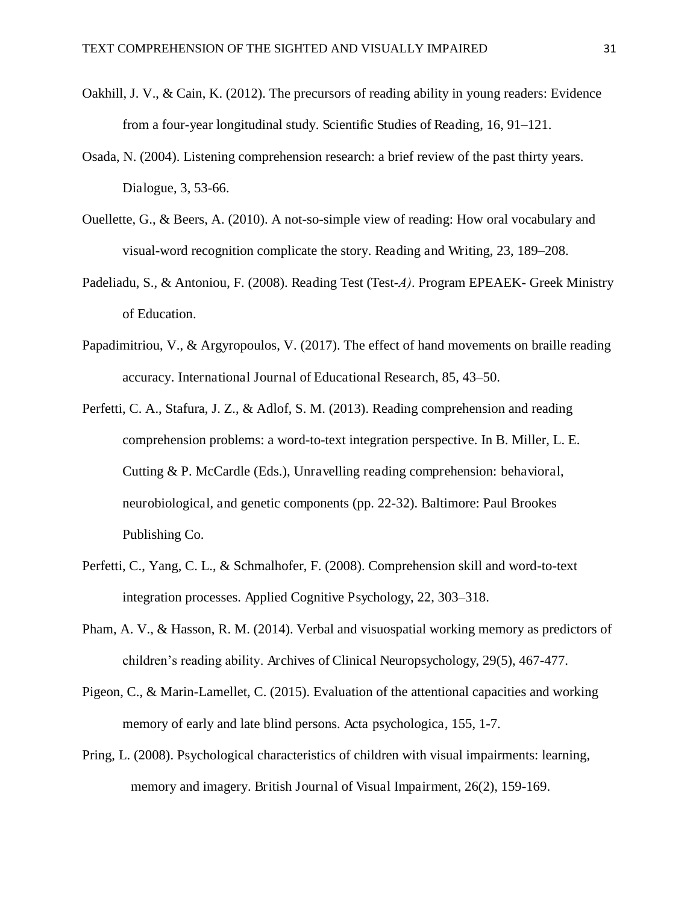- Oakhill, J. V., & Cain, K. (2012). The precursors of reading ability in young readers: Evidence from a four-year longitudinal study. Scientific Studies of Reading, 16, 91–121.
- Osada, N. (2004). Listening comprehension research: a brief review of the past thirty years. Dialogue, 3, 53-66.
- Ouellette, G., & Beers, A. (2010). A not-so-simple view of reading: How oral vocabulary and visual-word recognition complicate the story. Reading and Writing, 23, 189–208.
- Padeliadu, S., & Antoniou, F. (2008). Reading Test (Test-A). Program EPEAEK- Greek Ministry of Education.
- Papadimitriou, V., & Argyropoulos, V. (2017). The effect of hand movements on braille reading accuracy. International Journal of Educational Research, 85, 43–50.
- Perfetti, C. A., Stafura, J. Z., & Adlof, S. M. (2013). Reading comprehension and reading comprehension problems: a word-to-text integration perspective. In B. Miller, L. E. Cutting & P. McCardle (Eds.), Unravelling reading comprehension: behavioral, neurobiological, and genetic components (pp. 22-32). Baltimore: Paul Brookes Publishing Co.
- Perfetti, C., Yang, C. L., & Schmalhofer, F. (2008). Comprehension skill and word-to-text integration processes. Applied Cognitive Psychology, 22, 303–318.
- Pham, A. V., & Hasson, R. M. (2014). Verbal and visuospatial working memory as predictors of children's reading ability. Archives of Clinical Neuropsychology, 29(5), 467-477.
- Pigeon, C., & Marin-Lamellet, C. (2015). Evaluation of the attentional capacities and working memory of early and late blind persons. Acta psychologica, 155, 1-7.
- Pring, L. (2008). Psychological characteristics of children with visual impairments: learning, memory and imagery. British Journal of Visual Impairment, 26(2), 159-169.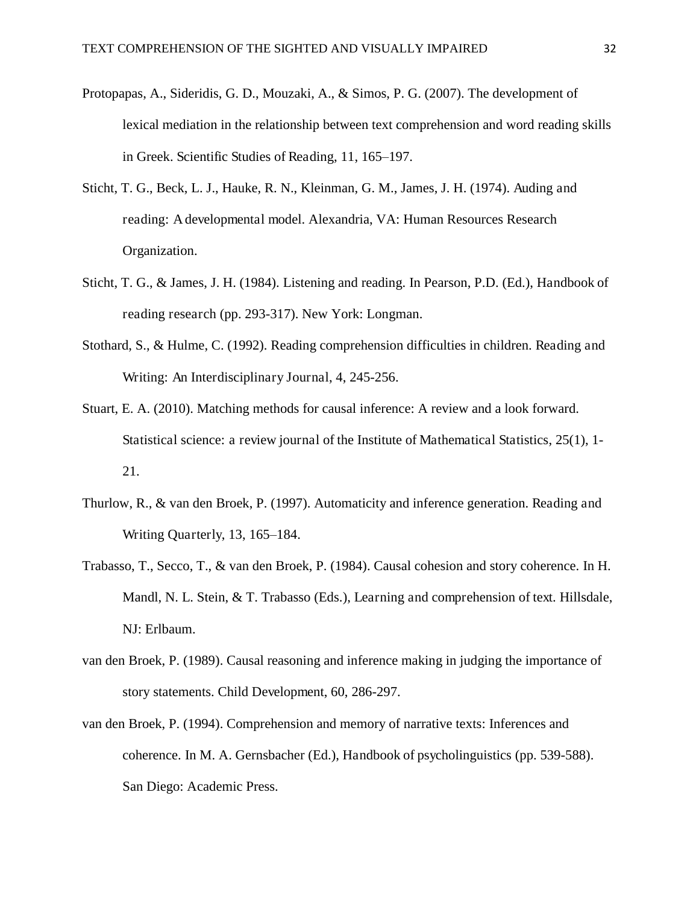- Protopapas, A., Sideridis, G. D., Mouzaki, A., & Simos, P. G. (2007). The development of lexical mediation in the relationship between text comprehension and word reading skills in Greek. Scientific Studies of Reading, 11, 165–197.
- Sticht, T. G., Beck, L. J., Hauke, R. N., Kleinman, G. M., James, J. H. (1974). Auding and reading: A developmental model. Alexandria, VA: Human Resources Research Organization.
- Sticht, T. G., & James, J. H. (1984). Listening and reading. In Pearson, P.D. (Ed.), Handbook of reading research (pp. 293-317). New York: Longman.
- Stothard, S., & Hulme, C. (1992). Reading comprehension difficulties in children. Reading and Writing: An Interdisciplinary Journal, 4, 245-256.
- Stuart, E. A. (2010). Matching methods for causal inference: A review and a look forward. Statistical science: a review journal of the Institute of Mathematical Statistics, 25(1), 1- 21.
- Thurlow, R., & van den Broek, P. (1997). Automaticity and inference generation. Reading and Writing Quarterly, 13, 165–184.
- Trabasso, T., Secco, T., & van den Broek, P. (1984). Causal cohesion and story coherence. In H. Mandl, N. L. Stein, & T. Trabasso (Eds.), Learning and comprehension of text. Hillsdale, NJ: Erlbaum.
- van den Broek, P. (1989). Causal reasoning and inference making in judging the importance of story statements. Child Development, 60, 286-297.
- van den Broek, P. (1994). Comprehension and memory of narrative texts: Inferences and coherence. In M. A. Gernsbacher (Ed.), Handbook of psycholinguistics (pp. 539-588). San Diego: Academic Press.